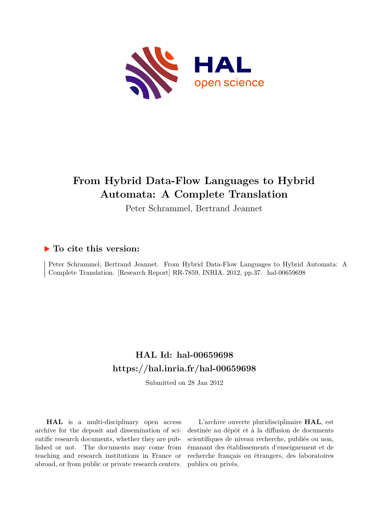

# **From Hybrid Data-Flow Languages to Hybrid Automata: A Complete Translation**

Peter Schrammel, Bertrand Jeannet

# **To cite this version:**

Peter Schrammel, Bertrand Jeannet. From Hybrid Data-Flow Languages to Hybrid Automata: A Complete Translation. [Research Report] RR-7859, INRIA. 2012, pp.37. hal-00659698

# **HAL Id: hal-00659698 <https://hal.inria.fr/hal-00659698>**

Submitted on 28 Jan 2012

**HAL** is a multi-disciplinary open access archive for the deposit and dissemination of scientific research documents, whether they are published or not. The documents may come from teaching and research institutions in France or abroad, or from public or private research centers.

L'archive ouverte pluridisciplinaire **HAL**, est destinée au dépôt et à la diffusion de documents scientifiques de niveau recherche, publiés ou non, émanant des établissements d'enseignement et de recherche français ou étrangers, des laboratoires publics ou privés.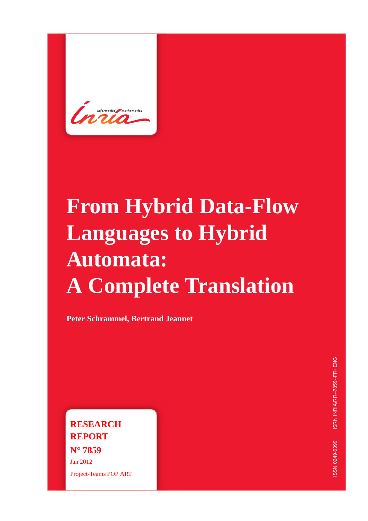# **From Hybrid Data-Flow Languages to Hybrid Automata: A Complete Translation**

**Peter Schrammel, Bertrand Jeannet**

**RESEARCH REPORT N° 7859** Jan 2012 Project-Teams POP ART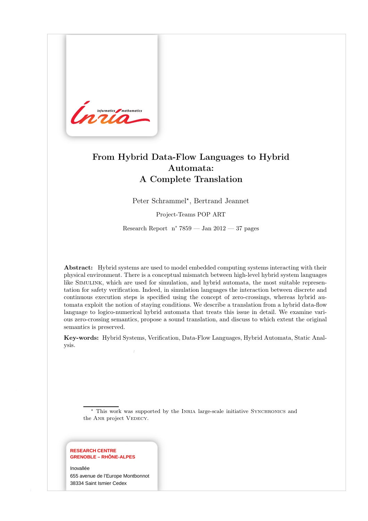

# From Hybrid Data-Flow Languages to Hybrid Automata: A Complete Translation

Peter Schrammel\*, Bertrand Jeannet

Project-Teams POP ART

Research Report n° 7859 — Jan 2012 — 37 pages

Abstract: Hybrid systems are used to model embedded computing systems interacting with their physical environment. There is a conceptual mismatch between high-level hybrid system languages like Simulink, which are used for simulation, and hybrid automata, the most suitable representation for safety verification. Indeed, in simulation languages the interaction between discrete and continuous execution steps is specified using the concept of zero-crossings, whereas hybrid automata exploit the notion of staying conditions. We describe a translation from a hybrid data-flow language to logico-numerical hybrid automata that treats this issue in detail. We examine various zero-crossing semantics, propose a sound translation, and discuss to which extent the original semantics is preserved.

Key-words: Hybrid Systems, Verification, Data-Flow Languages, Hybrid Automata, Static Analysis.

<sup>⋆</sup> This work was supported by the Inria large-scale initiative Synchronics and the ANR project VEDECY.

#### **RESEARCH CENTRE GRENOBLE – RHÔNE-ALPES**

Inovallée 655 avenue de l'Europe Montbonnot 38334 Saint Ismier Cedex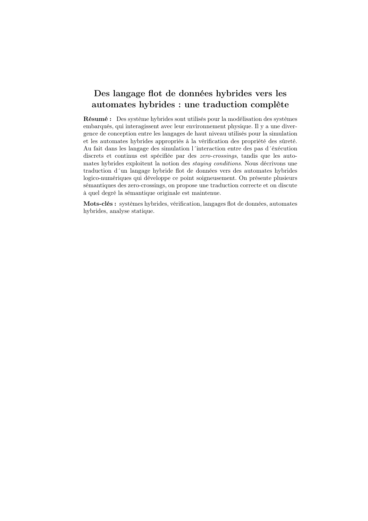# Des langage flot de données hybrides vers les automates hybrides : une traduction complète

Résumé : Des système hybrides sont utilisés pour la modélisation des systèmes embarqués, qui interagissent avec leur environnement physique. Il y a une divergence de conception entre les langages de haut niveau utilisés pour la simulation et les automates hybrides appropriés à la vérification des propriété des sûreté. Au fait dans les langage des simulation l´interaction entre des pas d´éxécution discrets et continus est spécifiée par des zero-crossings, tandis que les automates hybrides exploitent la notion des staying conditions. Nous décrivons une traduction d´un langage hybride flot de données vers des automates hybrides logico-numériques qui développe ce point soigneusement. On présente plusieurs sémantiques des zero-crossings, on propose une traduction correcte et on discute à quel degré la sémantique originale est maintenue.

Mots-clés : systèmes hybrides, vérification, langages flot de données, automates hybrides, analyse statique.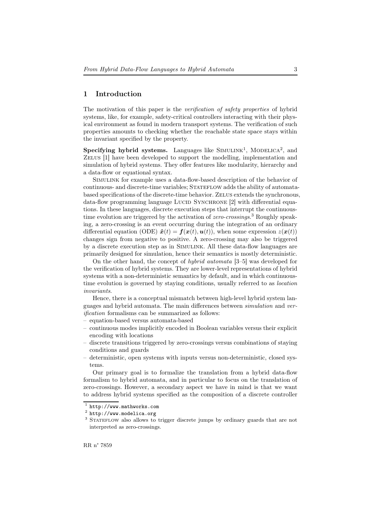# 1 Introduction

The motivation of this paper is the *verification of safety properties* of hybrid systems, like, for example, safety-critical controllers interacting with their physical environment as found in modern transport systems. The verification of such properties amounts to checking whether the reachable state space stays within the invariant specified by the property.

Specifying hybrid systems. Languages like  $SIMULINK<sup>1</sup>$ , MODELICA<sup>2</sup>, and ZELUS [1] have been developed to support the modelling, implementation and simulation of hybrid systems. They offer features like modularity, hierarchy and a data-flow or equational syntax.

Simulink for example uses a data-flow-based description of the behavior of continuous- and discrete-time variables; STATEFLOW adds the ability of automatabased specifications of the discrete-time behavior. Zelus extends the synchronous, data-flow programming language LUCID SYNCHRONE [2] with differential equations. In these languages, discrete execution steps that interrupt the continuoustime evolution are triggered by the activation of zero-crossings.<sup>3</sup> Roughly speaking, a zero-crossing is an event occurring during the integration of an ordinary differential equation (ODE)  $\dot{x}(t) = f(x(t), u(t))$ , when some expression  $z(x(t))$ changes sign from negative to positive. A zero-crossing may also be triggered by a discrete execution step as in Simulink. All these data-flow languages are primarily designed for simulation, hence their semantics is mostly deterministic.

On the other hand, the concept of hybrid automata [3–5] was developed for the verification of hybrid systems. They are lower-level representations of hybrid systems with a non-deterministic semantics by default, and in which continuoustime evolution is governed by staying conditions, usually referred to as location invariants.

Hence, there is a conceptual mismatch between high-level hybrid system languages and hybrid automata. The main differences between simulation and verification formalisms can be summarized as follows:

- equation-based versus automata-based
- continuous modes implicitly encoded in Boolean variables versus their explicit encoding with locations
- discrete transitions triggered by zero-crossings versus combinations of staying conditions and guards
- deterministic, open systems with inputs versus non-deterministic, closed systems.

Our primary goal is to formalize the translation from a hybrid data-flow formalism to hybrid automata, and in particular to focus on the translation of zero-crossings. However, a secondary aspect we have in mind is that we want to address hybrid systems specified as the composition of a discrete controller

<sup>1</sup> http://www.mathworks.com

<sup>2</sup> http://www.modelica.org

<sup>&</sup>lt;sup>3</sup> STATEFLOW also allows to trigger discrete jumps by ordinary guards that are not interpreted as zero-crossings.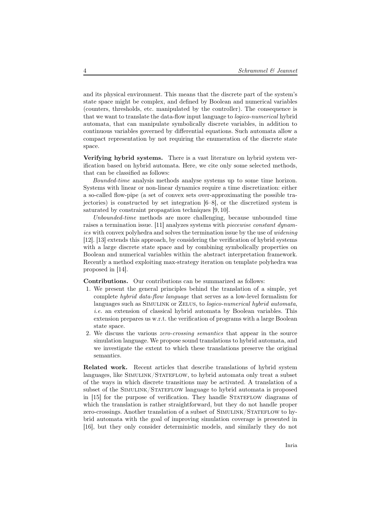and its physical environment. This means that the discrete part of the system's state space might be complex, and defined by Boolean and numerical variables (counters, thresholds, etc. manipulated by the controller). The consequence is that we want to translate the data-flow input language to logico-numerical hybrid automata, that can manipulate symbolically discrete variables, in addition to continuous variables governed by differential equations. Such automata allow a compact representation by not requiring the enumeration of the discrete state space.

Verifying hybrid systems. There is a vast literature on hybrid system verification based on hybrid automata. Here, we cite only some selected methods, that can be classified as follows:

Bounded-time analysis methods analyse systems up to some time horizon. Systems with linear or non-linear dynamics require a time discretization: either a so-called flow-pipe (a set of convex sets over-approximating the possible trajectories) is constructed by set integration [6–8], or the discretized system is saturated by constraint propagation techniques [9, 10].

Unbounded-time methods are more challenging, because unbounded time raises a termination issue. [11] analyzes systems with *piecewise constant dynam*ics with convex polyhedra and solves the termination issue by the use of widening [12]. [13] extends this approach, by considering the verification of hybrid systems with a large discrete state space and by combining symbolically properties on Boolean and numerical variables within the abstract interpretation framework. Recently a method exploiting max-strategy iteration on template polyhedra was proposed in [14].

Contributions. Our contributions can be summarized as follows:

- 1. We present the general principles behind the translation of a simple, yet complete hybrid data-flow language that serves as a low-level formalism for languages such as SIMULINK or ZELUS, to *logico-numerical hybrid automata*, i.e. an extension of classical hybrid automata by Boolean variables. This extension prepares us w.r.t. the verification of programs with a large Boolean state space.
- 2. We discuss the various zero-crossing semantics that appear in the source simulation language. We propose sound translations to hybrid automata, and we investigate the extent to which these translations preserve the original semantics.

Related work. Recent articles that describe translations of hybrid system languages, like SIMULINK/STATEFLOW, to hybrid automata only treat a subset of the ways in which discrete transitions may be activated. A translation of a subset of the SIMULINK/STATEFLOW language to hybrid automata is proposed in [15] for the purpose of verification. They handle STATEFLOW diagrams of which the translation is rather straightforward, but they do not handle proper zero-crossings. Another translation of a subset of Simulink/Stateflow to hybrid automata with the goal of improving simulation coverage is presented in [16], but they only consider deterministic models, and similarly they do not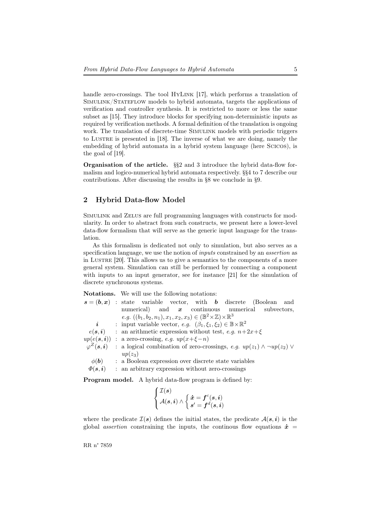handle zero-crossings. The tool HYLINK [17], which performs a translation of SIMULINK/STATEFLOW models to hybrid automata, targets the applications of verification and controller synthesis. It is restricted to more or less the same subset as [15]. They introduce blocks for specifying non-deterministic inputs as required by verification methods. A formal definition of the translation is ongoing work. The translation of discrete-time SIMULINK models with periodic triggers to Lustre is presented in [18]. The inverse of what we are doing, namely the embedding of hybrid automata in a hybrid system language (here Scicos), is the goal of [19].

Organisation of the article. §§2 and 3 introduce the hybrid data-flow formalism and logico-numerical hybrid automata respectively. §§4 to 7 describe our contributions. After discussing the results in §8 we conclude in §9.

# 2 Hybrid Data-flow Model

Simulink and Zelus are full programming languages with constructs for modularity. In order to abstract from such constructs, we present here a lower-level data-flow formalism that will serve as the generic input language for the translation.

As this formalism is dedicated not only to simulation, but also serves as a specification language, we use the notion of *inputs* constrained by an *assertion* as in Lustre [20]. This allows us to give a semantics to the components of a more general system. Simulation can still be performed by connecting a component with inputs to an input generator, see for instance [21] for the simulation of discrete synchronous systems.

Notations. We will use the following notations:

|                            | $s=(b,x)$ : state variable vector, with b discrete (Boolean and                                  |
|----------------------------|--------------------------------------------------------------------------------------------------|
|                            | numerical) and $x$ continuous numerical subvectors,                                              |
|                            | e.g. $((b_1, b_2, n_1), x_1, x_2, x_3) \in (\mathbb{B}^2 \times \mathbb{Z}) \times \mathbb{R}^3$ |
| i                          | : input variable vector, e.g. $(\beta_1, \xi_1, \xi_2) \in \mathbb{B} \times \mathbb{R}^2$       |
|                            | $e(s, i)$ : an arithmetic expression without test, e.g. $n+2x+\xi$                               |
|                            | $up(e(\mathbf{s},\mathbf{i}))$ : a zero-crossing, e.g. $up(x+\xi-n)$                             |
| $\varphi^Z(\bm{s},\bm{i})$ | : a logical combination of zero-crossings, e.g. $up(z_1) \wedge \neg up(z_2) \vee$               |
|                            | $up(z_3)$                                                                                        |
| $\phi(\mathbf{b})$         | : a Boolean expression over discrete state variables                                             |
| $\varPhi(\bm{s},\bm{i})$   | : an arbitrary expression without zero-crossings                                                 |

Program model. A hybrid data-flow program is defined by:

$$
\left\{ \begin{aligned} \mathcal{I}(s) \\ \mathcal{A}(s,i) \wedge \left\{ \begin{aligned} \dot{\bm{x}} &= f^c(s,i) \\ s' &= f^d(s,i) \end{aligned} \right. \end{aligned} \right.
$$

where the predicate  $\mathcal{I}(s)$  defines the initial states, the predicate  $\mathcal{A}(s, i)$  is the global *assertion* constraining the inputs, the continuous flow equations  $\dot{x}$  =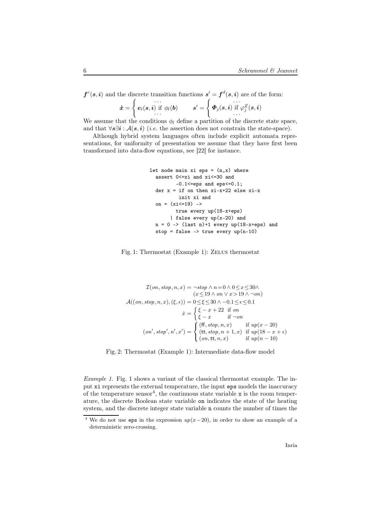$f^{c}(s, i)$  and the discrete transition functions  $s' = f^{d}(s, i)$  are of the form:

$$
\boldsymbol{\dot{x}} = \left\{ \begin{matrix} \ldots \\ \boldsymbol{e}_l(s,i) \text{ if } \phi_l(\boldsymbol{b}) \\ \ldots \end{matrix} \right. \qquad \boldsymbol{s}' = \left\{ \begin{matrix} \boldsymbol{\dot{\phi}}_j(s,i) \text{ if } \varphi_j^Z(s,i) \\ \ldots \end{matrix} \right.
$$

We assume that the conditions  $\phi_l$  define a partition of the discrete state space, and that  $\forall s \exists i : A(s, i)$  (i.e. the assertion does not constrain the state-space).

Although hybrid system languages often include explicit automata representations, for uniformity of presentation we assume that they have first been transformed into data-flow equations, see [22] for instance.

```
let node main xi eps = (n, x) where
  assert 0<=xi and xi<=30 and
         -0.1 <= eps and eps <= 0.1;
  der x = if on then xi-x+22 else xi-xinit xi and
  on = (xi \le 19) ->
         true every up(18-x+eps)
       | false every up(x-20) and
 n = 0 -> (last n)+1 every up(18-x+eps) and
  stop = false -> true every up(n-10)
```
### Fig. 1: Thermostat (Example 1): Zelus thermostat

$$
\mathcal{I}(on, stop, n, x) = \neg stop \land n = 0 \land 0 \leq x \leq 30 \land
$$
  
\n
$$
(x \leq 19 \land on \lor x > 19 \land \neg on)
$$
  
\n
$$
\mathcal{A}((on, stop, n, x), (\xi, \epsilon)) = 0 \leq \xi \leq 30 \land -0.1 \leq \epsilon \leq 0.1
$$
  
\n
$$
\dot{x} = \begin{cases} \xi - x + 22 & \text{if } on \\ \xi - x & \text{if } \neg on \end{cases}
$$
  
\n
$$
(on', stop', n', x') = \begin{cases} (\text{ff}, stop, n, x) & \text{if } up(x - 20) \\ (\text{tt}, stop, n + 1, x) & \text{if } up(18 - x + \epsilon) \\ (on, \text{tt}, n, x) & \text{if } up(n - 10) \end{cases}
$$

Fig. 2: Thermostat (Example 1): Intermediate data-flow model

Example 1. Fig. 1 shows a variant of the classical thermostat example. The input xi represents the external temperature, the input eps models the inaccuracy of the temperature  $sensor<sup>4</sup>$ , the continuous state variable x is the room temperature, the discrete Boolean state variable on indicates the state of the heating system, and the discrete integer state variable n counts the number of times the

<sup>&</sup>lt;sup>4</sup> We do not use eps in the expression  $up(x-20)$ , in order to show an example of a deterministic zero-crossing.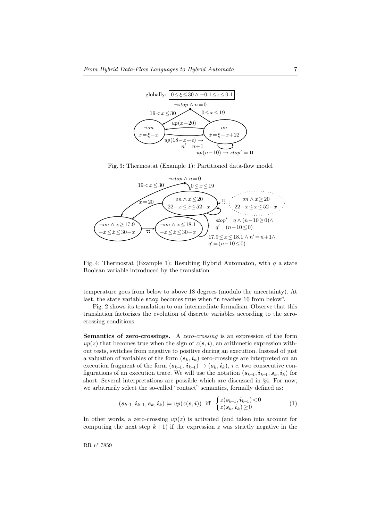

Fig. 3: Thermostat (Example 1): Partitioned data-flow model



Fig. 4: Thermostat (Example 1): Resulting Hybrid Automaton, with  $q$  a state Boolean variable introduced by the translation

temperature goes from below to above 18 degrees (modulo the uncertainty). At last, the state variable stop becomes true when "n reaches 10 from below".

Fig. 2 shows its translation to our intermediate formalism. Observe that this translation factorizes the evolution of discrete variables according to the zerocrossing conditions.

Semantics of zero-crossings. A zero-crossing is an expression of the form  $up(z)$  that becomes true when the sign of  $z(s, i)$ , an arithmetic expression without tests, switches from negative to positive during an execution. Instead of just a valuation of variables of the form  $(s_k, i_k)$  zero-crossings are interpreted on an execution fragment of the form  $(s_{k-1}, i_{k-1}) \rightarrow (s_k, i_k)$ , *i.e.* two consecutive configurations of an execution trace. We will use the notation  $(s_{k-1}, i_{k-1}, s_k, i_k)$  for short. Several interpretations are possible which are discussed in §4. For now, we arbitrarily select the so-called "contact" semantics, formally defined as:

$$
(\mathbf{s}_{k-1}, \mathbf{i}_{k-1}, \mathbf{s}_k, \mathbf{i}_k) \models up(z(\mathbf{s}, \mathbf{i})) \text{ iff } \begin{cases} z(\mathbf{s}_{k-1}, \mathbf{i}_{k-1}) < 0 \\ z(\mathbf{s}_k, \mathbf{i}_k) \ge 0 \end{cases} (1)
$$

In other words, a zero-crossing  $up(z)$  is activated (and taken into account for computing the next step  $k+1$ ) if the expression z was strictly negative in the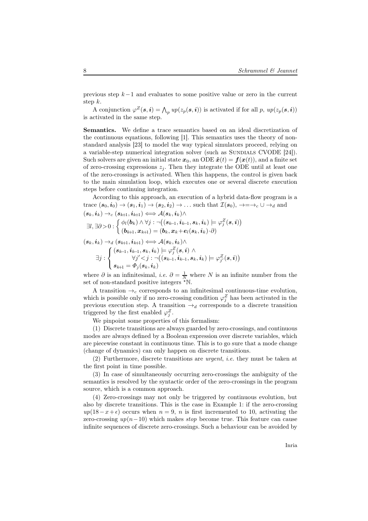previous step k−1 and evaluates to some positive value or zero in the current step k.

A conjunction  $\varphi^Z(s, \mathbf{i}) = \bigwedge_p up(z_p(\mathbf{s}, \mathbf{i}))$  is activated if for all p,  $up(z_p(\mathbf{s}, \mathbf{i}))$ is activated in the same step.

Semantics. We define a trace semantics based on an ideal discretization of the continuous equations, following [1]. This semantics uses the theory of nonstandard analysis [23] to model the way typical simulators proceed, relying on a variable-step numerical integration solver (such as SUNDIALS CVODE [24]). Such solvers are given an initial state  $x_0$ , an ODE  $\dot{x}(t) = f(x(t))$ , and a finite set of zero-crossing expressions  $z_i$ . Then they integrate the ODE until at least one of the zero-crossings is activated. When this happens, the control is given back to the main simulation loop, which executes one or several discrete execution steps before continuing integration.

According to this approach, an execution of a hybrid data-flow program is a trace  $(s_0, i_0) \to (s_1, i_1) \to (s_2, i_2) \to \dots$  such that  $\mathcal{I}(s_0)$ ,  $\to = \to_c \cup \to_d$  and  $(s_k, i_k) \rightarrow_c (s_{k+1}, i_{k+1}) \Longleftrightarrow \mathcal{A}(s_k, i_k) \wedge$ 

$$
\exists l, \exists \partial \!>\! 0 : \left\{ \begin{matrix} \phi_l(\boldsymbol{b}_k) \land \forall j : \neg\big((s_{k\!-\!1}, i_{k\!-\!1}, s_k, i_k) \models \varphi^Z_j(s, i) \big) \\ (b_{k\!+\!1}, x_{k\!+\!1}) = (b_k, x_k \!+\! e_l(s_k, i_k) \!\cdot \! \partial \big) \end{matrix} \right.
$$

$$
\begin{aligned} & (s_k, i_k) \rightarrow_d (s_{k+1}, i_{k+1}) \Longleftrightarrow \mathcal{A}(s_k, i_k) \wedge \\ & \exists j : \left\{ \begin{aligned} & (s_{k-1}, i_{k-1}, s_k, i_k) \models \varphi^Z_j(s,i) \; \wedge \\ & \forall j' < j : \neg \big( (s_{k-1}, i_{k-1}, s_k, i_k) \models \varphi^Z_{j'}(s,i) \big) \\ & s_{k+1} = \varPhi_j(s_k, i_k) \end{aligned} \right. \end{aligned}
$$

where  $\partial$  is an infinitesimal, *i.e.*  $\partial = \frac{1}{N}$  where N is an infinite number from the set of non-standard positive integers  $*\mathbb{N}$ .

A transition  $\rightarrow_c$  corresponds to an infinitesimal continuous-time evolution, which is possible only if no zero-crossing condition  $\varphi_j^Z$  has been activated in the previous execution step. A transition  $\rightarrow_d$  corresponds to a discrete transition triggered by the first enabled  $\varphi_j^Z$ .

We pinpoint some properties of this formalism:

(1) Discrete transitions are always guarded by zero-crossings, and continuous modes are always defined by a Boolean expression over discrete variables, which are piecewise constant in continuous time. This is to go sure that a mode change (change of dynamics) can only happen on discrete transitions.

(2) Furthermore, discrete transitions are urgent, i.e. they must be taken at the first point in time possible.

(3) In case of simultaneously occurring zero-crossings the ambiguity of the semantics is resolved by the syntactic order of the zero-crossings in the program source, which is a common approach.

(4) Zero-crossings may not only be triggered by continuous evolution, but also by discrete transitions. This is the case in Example 1: if the zero-crossing  $up(18-x+\epsilon)$  occurs when  $n=9$ , n is first incremented to 10, activating the zero-crossing  $up(n-10)$  which makes stop become true. This feature can cause infinite sequences of discrete zero-crossings. Such a behaviour can be avoided by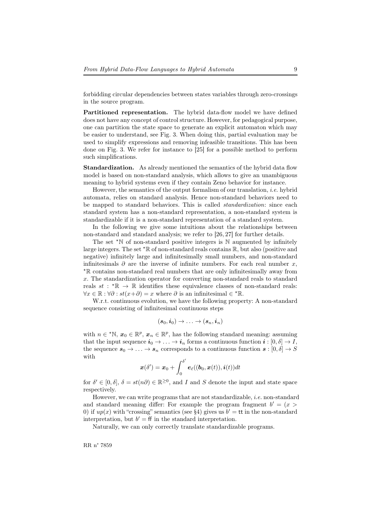forbidding circular dependencies between states variables through zero-crossings in the source program.

Partitioned representation. The hybrid data-flow model we have defined does not have any concept of control structure. However, for pedagogical purpose, one can partition the state space to generate an explicit automaton which may be easier to understand, see Fig. 3. When doing this, partial evaluation may be used to simplify expressions and removing infeasible transitions. This has been done on Fig. 3. We refer for instance to [25] for a possible method to perform such simplifications.

Standardization. As already mentioned the semantics of the hybrid data flow model is based on non-standard analysis, which allows to give an unambiguous meaning to hybrid systems even if they contain Zeno behavior for instance.

However, the semantics of the output formalism of our translation, i.e. hybrid automata, relies on standard analysis. Hence non-standard behaviors need to be mapped to standard behaviors. This is called standardization: since each standard system has a non-standard representation, a non-standard system is standardizable if it is a non-standard representation of a standard system.

In the following we give some intuitions about the relationships between non-standard and standard analysis; we refer to [26, 27] for further details.

The set  $*N$  of non-standard positive integers is  $N$  augmented by infinitely large integers. The set  $\kappa \mathbb{R}$  of non-standard reals contains  $\mathbb{R}$ , but also (positive and negative) infinitely large and infinitesimally small numbers, and non-standard infinitesimals  $\partial$  are the inverse of infinite numbers. For each real number x, <sup>⋆</sup>R contains non-standard real numbers that are only infinitesimally away from x. The standardization operator for converting non-standard reals to standard reals  $st : \mathbb{R} \to \mathbb{R}$  identifies these equivalence classes of non-standard reals:  $\forall x \in \mathbb{R} : \forall \partial : st(x+\partial) = x$  where  $\partial$  is an infinitesimal  $\in^* \mathbb{R}$ .

W.r.t. continuous evolution, we have the following property: A non-standard sequence consisting of infinitesimal continuous steps

$$
(\bm{s}_0, \bm{i}_0) \rightarrow \ldots \rightarrow (\bm{s}_n, \bm{i}_n)
$$

with  $n \in \mathbb{N}$ ,  $x_0 \in \mathbb{R}^p$ ,  $x_n \in \mathbb{R}^p$ , has the following standard meaning: assuming that the input sequence  $i_0 \to \ldots \to i_n$  forms a continuous function  $i : [0, \delta] \to I$ , the sequence  $s_0 \to \ldots \to s_n$  corresponds to a continuous function  $s : [0, \delta] \to S$ with ′

$$
\boldsymbol{x}(\delta') = \boldsymbol{x}_0 + \int_0^{\delta'} \boldsymbol{e}_{\ell}((\boldsymbol{b}_0,\boldsymbol{x}(t)),\boldsymbol{i}(t))dt
$$

for  $\delta' \in [0, \delta], \ \delta = st(n\partial) \in \mathbb{R}^{\geq 0}$ , and I and S denote the input and state space respectively.

However, we can write programs that are not standardizable, *i.e.* non-standard and standard meaning differ: For example the program fragment  $b' = (x >$ 0) if  $up(x)$  with "crossing" semantics (see §4) gives us  $b' =$  tt in the non-standard interpretation, but  $b' = ff$  in the standard interpretation.

Naturally, we can only correctly translate standardizable programs.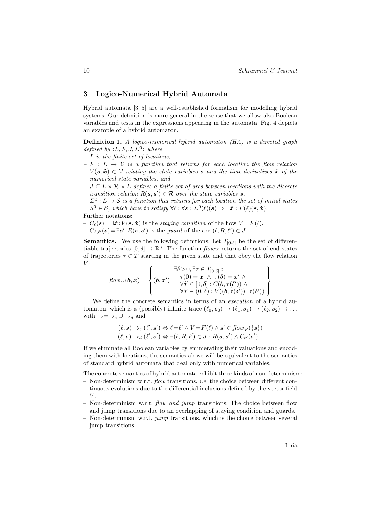# 3 Logico-Numerical Hybrid Automata

Hybrid automata [3–5] are a well-established formalism for modelling hybrid systems. Our definition is more general in the sense that we allow also Boolean variables and tests in the expressions appearing in the automata. Fig. 4 depicts an example of a hybrid automaton.

Definition 1. A logico-numerical hybrid automaton (HA) is a directed graph defined by  $\langle L, F, J, \Sigma^0 \rangle$  where

- $L$  is the finite set of locations,
- $-F : L \rightarrow V$  is a function that returns for each location the flow relation  $V(\mathbf{s}, \dot{\mathbf{x}}) \in \mathcal{V}$  relating the state variables **s** and the time-derivatives  $\dot{\mathbf{x}}$  of the numerical state variables, and
- $J \subseteq L \times \mathcal{R} \times L$  defines a finite set of arcs between locations with the discrete transition relation  $R(s, s') \in \mathcal{R}$  over the state variables s.
- $\Sigma^0: L \to \mathcal{S}$  is a function that returns for each location the set of initial states  $S^0 \in \mathcal{S}$ , which have to satisfy  $\forall \ell : \forall s : \Sigma^0(\ell)(s) \Rightarrow \exists \dot{x} : F(\ell)(s, \dot{x}).$

Further notations:

–  $C_{\ell}(s) = \exists \dot{x}$ :  $V(s, \dot{x})$  is the staying condition of the flow  $V = F(\ell)$ .  $-G_{\ell,\ell'}(s) = \exists s': R(s, s')$  is the guard of the arc  $(\ell, R, \ell') \in J$ .

**Semantics.** We use the following definitions: Let  $T_{[0,\delta]}$  be the set of differentiable trajectories  $[0, \delta] \to \mathbb{R}^n$ . The function  $flow_V$  returns the set of end states of trajectories  $\tau \in T$  starting in the given state and that obey the flow relation  $V:$ 

$$
\text{flow}_V(\boldsymbol{b}, \boldsymbol{x}) = \left\{ (\boldsymbol{b}, \boldsymbol{x}') \middle| \begin{array}{l} \exists \delta > 0, \exists \tau \in T_{[0, \delta]}: \\ \tau(0) = \boldsymbol{x} \ \wedge \ \tau(\delta) = \boldsymbol{x}' \ \wedge \\ \forall \delta' \in [0, \delta] : C(\boldsymbol{b}, \tau(\delta')) \ \wedge \\ \forall \delta' \in (0, \delta) : V((\boldsymbol{b}, \tau(\delta')), \ \dot{\tau}(\delta')) \end{array} \right\}
$$

We define the concrete semantics in terms of an *execution* of a hybrid automaton, which is a (possibly) infinite trace  $(\ell_0, s_0) \to (\ell_1, s_1) \to (\ell_2, s_2) \to \ldots$ with  $\rightarrow = \rightarrow_c \cup \rightarrow_d$  and

$$
(\ell, s) \rightarrow_c (\ell', s') \Leftrightarrow \ell = \ell' \land V = F(\ell) \land s' \in flow_V(\{s\})
$$
  

$$
(\ell, s) \rightarrow_d (\ell', s') \Leftrightarrow \exists (\ell, R, \ell') \in J : R(s, s') \land C_{\ell'}(s')
$$

If we eliminate all Boolean variables by enumerating their valuations and encoding them with locations, the semantics above will be equivalent to the semantics of standard hybrid automata that deal only with numerical variables.

The concrete semantics of hybrid automata exhibit three kinds of non-determinism:

- Non-determinism w.r.t. flow transitions, *i.e.* the choice between different continuous evolutions due to the differential inclusions defined by the vector field  $V$ .
- Non-determinism w.r.t. flow and jump transitions: The choice between flow and jump transitions due to an overlapping of staying condition and guards.
- Non-determinism w.r.t. jump transitions, which is the choice between several jump transitions.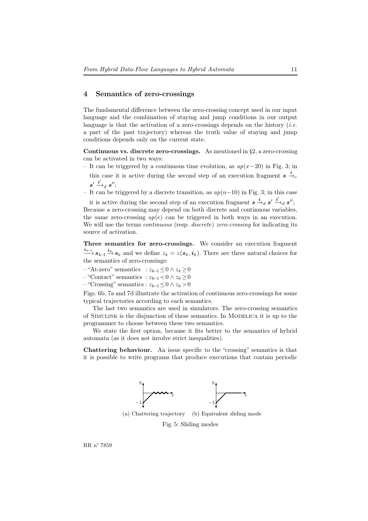# 4 Semantics of zero-crossings

The fundamental difference between the zero-crossing concept used in our input language and the combination of staying and jump conditions in our output language is that the activation of a zero-crossings depends on the history *(i.e.*) a part of the past trajectory) whereas the truth value of staying and jump conditions depends only on the current state.

Continuous vs. discrete zero-crossings. As mentioned in §2, a zero-crossing can be activated in two ways:

– It can be triggered by a continuous time evolution, as up(x−20) in Fig. 3; in

this case it is active during the second step of an execution fragment  $s \stackrel{i}{\rightarrow} c$  $\boldsymbol{s}'\stackrel{\boldsymbol{i}'}{\longrightarrow}_d\boldsymbol{s}'';$ 

– It can be triggered by a discrete transition, as up(n−10) in Fig. 3; in this case

it is active during the second step of an execution fragment  $s \stackrel{i}{\rightarrow}_d s' \stackrel{i'}{\rightarrow}_d s''$ ; Because a zero-crossing may depend on both discrete and continuous variables, the same zero-crossing  $up(e)$  can be triggered in both ways in an execution. We will use the terms *continuous* (resp. *discrete*) zero-crossing for indicating its source of activation.

Three semantics for zero-crossings. We consider an execution fragment  $\stackrel{i_{k-1}}{\longrightarrow} s_{k-1} \stackrel{i_k}{\longrightarrow} s_k$  and we define  $z_k = z(s_k, i_k)$ . There are three natural choices for the semantics of zero-crossings:

 $-$  "At-zero" semantics :  $z_{k-1} \leq 0 \wedge z_k \geq 0$ 

 $-$  "Contact" semantics :  $z_{k-1}$  < 0 ∧  $z_k$  ≥ 0

 $-$  "Crossing" semantics :  $z_{k-1}$  ≤ 0 ∧  $z_k$  > 0

Figs. 6b, 7a and 7d illustrate the activation of continuous zero-crossings for some typical trajectories according to each semantics.

The last two semantics are used in simulators. The zero-crossing semantics of Simulink is the disjunction of these semantics. In Modelica it is up to the programmer to choose between these two semantics.

We state the first option, because it fits better to the semantics of hybrid automata (as it does not involve strict inequalities).

Chattering behaviour. An issue specific to the "crossing" semantics is that it is possible to write programs that produce executions that contain periodic



Fig. 5: Sliding modes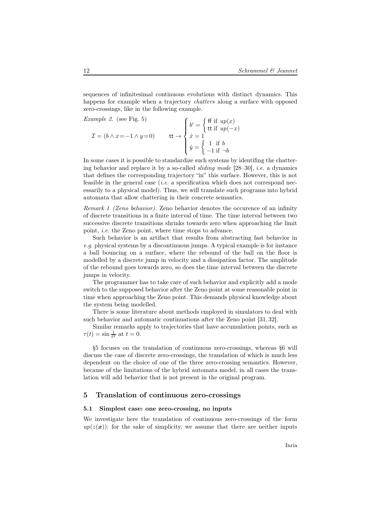sequences of infinitesimal continuous evolutions with distinct dynamics. This happens for example when a trajectory *chatters* along a surface with opposed zero-crossings, like in the following example.

Example 2. (see Fig. 5)  
\n
$$
\mathcal{I} = (b \land x = -1 \land y = 0) \qquad \text{tt} \rightarrow \begin{cases} b' = \begin{cases} \text{ff if } up(x) \\ \text{tt if } up(-x) \end{cases} \\ \dot{x} = 1 \\ \dot{y} = \begin{cases} 1 & \text{if } b \\ -1 & \text{if } \neg b \end{cases} \end{cases}
$$

In some cases it is possible to standardize such systems by identifing the chattering behavior and replace it by a so-called sliding mode [28–30], i.e. a dynamics that defines the corresponding trajectory "in" this surface. However, this is not feasible in the general case (*i.e.* a specification which does not correspond necessarily to a physical model). Thus, we will translate such programs into hybrid automata that allow chattering in their concrete semantics.

Remark 1 (Zeno behavior). Zeno behavior denotes the occurence of an infinity of discrete transitions in a finite interval of time. The time interval between two successive discrete transitions shrinks towards zero when approaching the limit point, i.e. the Zeno point, where time stops to advance.

Such behavior is an artifact that results from abstracting fast behavior in e.g. physical systems by a discontinuous jumps. A typical example is for instance a ball bouncing on a surface, where the rebound of the ball on the floor is modelled by a discrete jump in velocity and a dissipation factor. The amplitude of the rebound goes towards zero, so does the time interval between the discrete jumps in velocity.

The programmer has to take care of such behavior and explicitly add a mode switch to the supposed behavior after the Zeno point at some reasonable point in time when approaching the Zeno point. This demands physical knowledge about the system being modelled.

There is some literature about methods employed in simulators to deal with such behavior and automatic continuations after the Zeno point [31, 32].

Similar remarks apply to trajectories that have accumulation points, such as  $\tau(t) = \sin \frac{1}{t^2}$  at  $t = 0$ .

§5 focuses on the translation of continuous zero-crossings, whereas §6 will discuss the case of discrete zero-crossings, the translation of which is much less dependent on the choice of one of the three zero-crossing semantics. However, because of the limitations of the hybrid automata model, in all cases the translation will add behavior that is not present in the original program.

## 5 Translation of continuous zero-crossings

#### 5.1 Simplest case: one zero-crossing, no inputs

We investigate here the translation of continuous zero-crossings of the form  $up(z(x))$ : for the sake of simplicity, we assume that there are neither inputs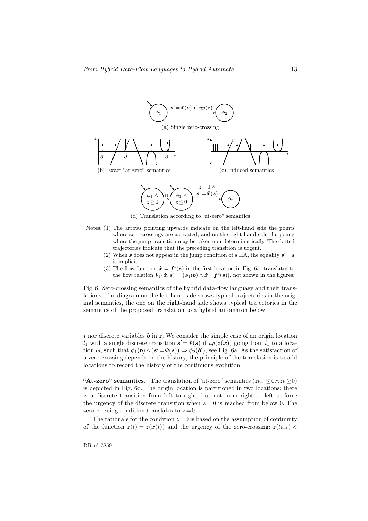

(d) Translation according to "at-zero" semantics

- Notes: (1) The arrows pointing upwards indicate on the left-hand side the points where zero-crossings are activated, and on the right-hand side the points where the jump transition may be taken non-deterministically. The dotted trajectories indicate that the preceding transition is urgent.
	- (2) When s does not appear in the jump condition of a HA, the equality  $s' = s$ is implicit.
	- (3) The flow function  $\dot{\boldsymbol{x}} = \boldsymbol{f}^c(\boldsymbol{s})$  in the first location in Fig. 6a, translates to the flow relation  $V_1(\dot{x}, s) = (\phi_1(b) \wedge \dot{x} = f^c(s))$ , not shown in the figures.

Fig. 6: Zero-crossing semantics of the hybrid data-flow language and their translations. The diagram on the left-hand side shows typical trajectories in the original semantics, the one on the right-hand side shows typical trajectories in the semantics of the proposed translation to a hybrid automaton below.

 $i$  nor discrete variables  $b$  in z. We consider the simple case of an origin location  $l_1$  with a single discrete transition  $s' = \Phi(s)$  if  $up(z(x))$  going from  $l_1$  to a location  $l_2$ , such that  $\phi_1(\mathbf{b}) \wedge (\mathbf{s}' = \phi(\mathbf{s})) \Rightarrow \phi_2(\mathbf{b}')$ , see Fig. 6a. As the satisfaction of a zero-crossing depends on the history, the principle of the translation is to add locations to record the history of the continuous evolution.

"At-zero" semantics. The translation of "at-zero" semantics  $(z_{k-1} \le 0 \land z_k \ge 0)$ is depicted in Fig. 6d. The origin location is partitioned in two locations: there is a discrete transition from left to right, but not from right to left to force the urgency of the discrete transition when  $z = 0$  is reached from below 0. The zero-crossing condition translates to  $z=0$ .

The rationale for the condition  $z = 0$  is based on the assumption of continuity of the function  $z(t) = z(x(t))$  and the urgency of the zero-crossing:  $z(t_{k-1})$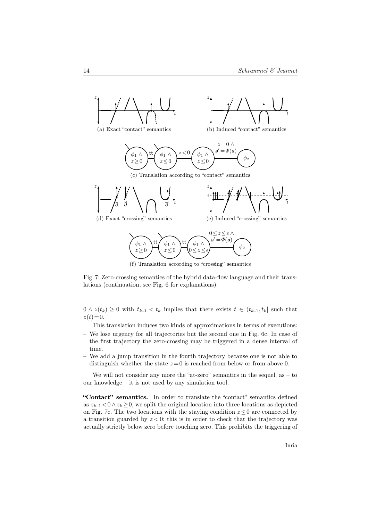

Fig. 7: Zero-crossing semantics of the hybrid data-flow language and their translations (continuation, see Fig. 6 for explanations).

 $0 \wedge z(t_k) \geq 0$  with  $t_{k-1} < t_k$  implies that there exists  $t \in (t_{k-1}, t_k]$  such that  $z(t)=0.$ 

This translation induces two kinds of approximations in terms of executions:

- We lose urgency for all trajectories but the second one in Fig. 6c. In case of the first trajectory the zero-crossing may be triggered in a dense interval of time.
- We add a jump transition in the fourth trajectory because one is not able to distinguish whether the state  $z=0$  is reached from below or from above 0.

We will not consider any more the "at-zero" semantics in the sequel, as  $-$  to our knowledge – it is not used by any simulation tool.

"Contact" semantics. In order to translate the "contact" semantics defined as  $z_{k-1} < 0 \wedge z_k \geq 0$ , we split the original location into three locations as depicted on Fig. 7c. The two locations with the staying condition  $z \leq 0$  are connected by a transition guarded by  $z < 0$ : this is in order to check that the trajectory was actually strictly below zero before touching zero. This prohibits the triggering of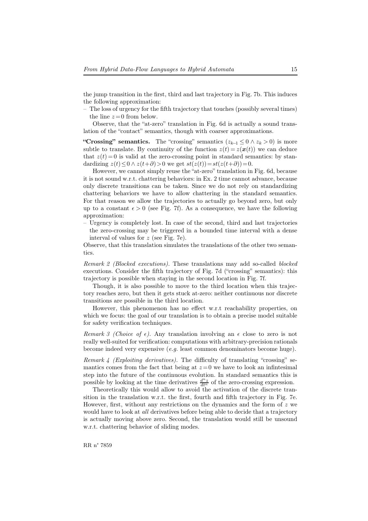the jump transition in the first, third and last trajectory in Fig. 7b. This induces the following approximation:

– The loss of urgency for the fifth trajectory that touches (possibly several times) the line  $z = 0$  from below.

Observe, that the "at-zero" translation in Fig. 6d is actually a sound translation of the "contact" semantics, though with coarser approximations.

"Crossing" semantics. The "crossing" semantics  $(z_{k-1} \leq 0 \land z_k > 0)$  is more subtle to translate. By continuity of the function  $z(t) = z(x(t))$  we can deduce that  $z(t) = 0$  is valid at the zero-crossing point in standard semantics: by standardizing  $z(t) \leq 0 \wedge z(t+\partial) > 0$  we get  $st(z(t))=st(z(t+\partial))=0$ .

However, we cannot simply reuse the "at-zero" translation in Fig. 6d, because it is not sound w.r.t. chattering behaviors: in Ex. 2 time cannot advance, because only discrete transitions can be taken. Since we do not rely on standardizing chattering behaviors we have to allow chattering in the standard semantics. For that reason we allow the trajectories to actually go beyond zero, but only up to a constant  $\epsilon > 0$  (see Fig. 7f). As a consequence, we have the following approximation:

– Urgency is completely lost. In case of the second, third and last trajectories the zero-crossing may be triggered in a bounded time interval with a dense interval of values for z (see Fig. 7e).

Observe, that this translation simulates the translations of the other two semantics.

Remark 2 (Blocked executions). These translations may add so-called blocked executions. Consider the fifth trajectory of Fig. 7d ("crossing" semantics): this trajectory is possible when staying in the second location in Fig. 7f.

Though, it is also possible to move to the third location when this trajectory reaches zero, but then it gets stuck at-zero: neither continuous nor discrete transitions are possible in the third location.

However, this phenomenon has no effect w.r.t reachability properties, on which we focus: the goal of our translation is to obtain a precise model suitable for safety verification techniques.

Remark 3 (Choice of  $\epsilon$ ). Any translation involving an  $\epsilon$  close to zero is not really well-suited for verification: computations with arbitrary-precision rationals become indeed very expensive  $(e,q)$  least common denominators become huge).

Remark 4 (Exploiting derivatives). The difficulty of translating "crossing" semantics comes from the fact that being at  $z = 0$  we have to look an infinitesimal step into the future of the continuous evolution. In standard semantics this is possible by looking at the time derivatives  $\frac{d^n z}{dt^n}$  of the zero-crossing expression.

Theoretically this would allow to avoid the activation of the discrete transition in the translation w.r.t. the first, fourth and fifth trajectory in Fig. 7e. However, first, without any restrictions on the dynamics and the form of  $z$  we would have to look at *all* derivatives before being able to decide that a trajectory is actually moving above zero. Second, the translation would still be unsound w.r.t. chattering behavior of sliding modes.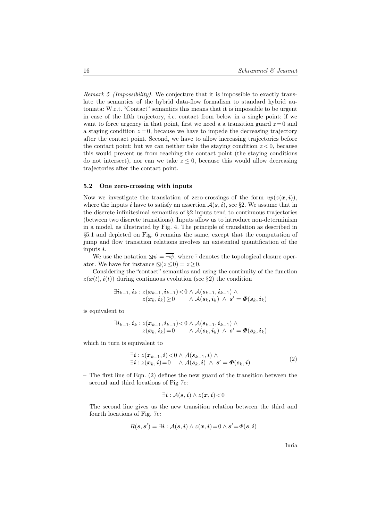Remark 5 (Impossibility). We conjecture that it is impossible to exactly translate the semantics of the hybrid data-flow formalism to standard hybrid automata: W.r.t. "Contact" semantics this means that it is impossible to be urgent in case of the fifth trajectory, *i.e.* contact from below in a single point: if we want to force urgency in that point, first we need a a transition guard  $z=0$  and a staying condition  $z = 0$ , because we have to impede the decreasing trajectory after the contact point. Second, we have to allow increasing trajectories before the contact point: but we can neither take the staying condition  $z < 0$ , because this would prevent us from reaching the contact point (the staying conditions do not intersect), nor can we take  $z \leq 0$ , because this would allow decreasing trajectories after the contact point.

#### 5.2 One zero-crossing with inputs

Now we investigate the translation of zero-crossings of the form  $up(z(\mathbf{x}, i))$ , where the inputs i have to satisfy an assertion  $A(s, i)$ , see §2. We assume that in the discrete infinitesimal semantics of §2 inputs tend to continuous trajectories (between two discrete transitions). Inputs allow us to introduce non-determinism in a model, as illustrated by Fig. 4. The principle of translation as described in §5.1 and depicted on Fig. 6 remains the same, except that the computation of jump and flow transition relations involves an existential quantification of the inputs  $i$ .

We use the notation  $\Delta \psi = \psi$ , where  $\overline{\psi}$  denotes the topological closure operator. We have for instance  $\mathbb{S}(z \leq 0) = z \geq 0$ .

Considering the "contact" semantics and using the continuity of the function  $z(\mathbf{x}(t), \mathbf{i}(t))$  during continuous evolution (see §2) the condition

$$
\exists i_{k-1}, i_k : z(\boldsymbol{x}_{k-1}, i_{k-1}) < 0 \wedge \mathcal{A}(s_{k-1}, i_{k-1}) \wedge \\ \hspace{2.5cm} z(\boldsymbol{x}_k, i_k) \geq 0 \quad \wedge \mathcal{A}(s_k, i_k) \wedge \boldsymbol{s}' = \boldsymbol{\varPhi}(s_k, i_k)
$$

is equivalent to

$$
\exists \boldsymbol{i}_{k-1}, \boldsymbol{i}_k : z(\boldsymbol{x}_{k-1}, \boldsymbol{i}_{k-1}) \! < \! 0 \wedge \mathcal{A}(\boldsymbol{s}_{k-1}, \boldsymbol{i}_{k-1}) \wedge \\ \hspace{5mm} z(\boldsymbol{x}_k, \boldsymbol{i}_k) \! = \! 0 \qquad \wedge \mathcal{A}(\boldsymbol{s}_k, \boldsymbol{i}_k) \wedge \boldsymbol{s}' \! = \! \boldsymbol{\varPhi}(\boldsymbol{s}_k, \boldsymbol{i}_k)
$$

which in turn is equivalent to

$$
\begin{aligned} \exists i: z(\boldsymbol{x}_{k-1}, i) &< 0 \land \mathcal{A}(s_{k-1}, i) \land \\ \exists i: z(\boldsymbol{x}_k, i) &= 0 \quad \land \mathcal{A}(s_k, i) \land s' = \boldsymbol{\Phi}(s_k, i) \end{aligned} \tag{2}
$$

– The first line of Eqn. (2) defines the new guard of the transition between the second and third locations of Fig 7c:

$$
\exists \boldsymbol{i} : \mathcal{A}(\boldsymbol{s},\boldsymbol{i}) \wedge z(\boldsymbol{x},\boldsymbol{i}) \!<\! 0
$$

– The second line gives us the new transition relation between the third and fourth locations of Fig. 7c:

$$
R(\mathbf{s},\mathbf{s}') = \exists \mathbf{i} : \mathcal{A}(\mathbf{s},\mathbf{i}) \wedge z(\mathbf{x},\mathbf{i}) = 0 \wedge \mathbf{s}' = \Phi(\mathbf{s},\mathbf{i})
$$

Inria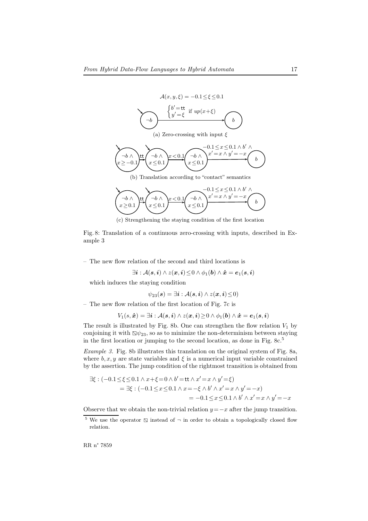

(c) Strengthening the staying condition of the first location

Fig. 8: Translation of a continuous zero-crossing with inputs, described in Example 3

– The new flow relation of the second and third locations is

$$
\exists \boldsymbol{i}:\mathcal{A}(\boldsymbol{s},\boldsymbol{i}) \land z(\boldsymbol{x},\boldsymbol{i})\!\leq\! 0 \land \phi_1(\boldsymbol{b}) \land \boldsymbol{\dot{x}} = \boldsymbol{e}_1(\boldsymbol{s},\boldsymbol{i})
$$

which induces the staying condition

$$
\psi_{23}(\mathbf{s}) = \exists \mathbf{i} : \mathcal{A}(\mathbf{s}, \mathbf{i}) \wedge z(\mathbf{x}, \mathbf{i}) \leq 0)
$$

– The new flow relation of the first location of Fig. 7c is

$$
V_1(s, \dot{\bm x}) = \exists \bm i: \mathcal{A}(\bm s, \bm i) \land z(\bm x, \bm i) \geq 0 \land \phi_1(\bm b) \land \dot{\bm x} = \bm e_1(\bm s, \bm i)
$$

The result is illustrated by Fig. 8b. One can strengthen the flow relation  $V_1$  by conjoining it with  $\Delta \psi_{23}$ , so as to minimize the non-determinism between staying in the first location or jumping to the second location, as done in Fig. 8c.<sup>5</sup>

Example 3. Fig. 8b illustrates this translation on the original system of Fig. 8a, where  $b, x, y$  are state variables and  $\xi$  is a numerical input variable constrained by the assertion. The jump condition of the rightmost transition is obtained from

$$
\exists \xi : (-0.1 \le \xi \le 0.1 \land x + \xi = 0 \land b' = \text{tt} \land x' = x \land y' = \xi) \n= \exists \xi : (-0.1 \le x \le 0.1 \land x = -\xi \land b' \land x' = x \land y' = -x) \n= -0.1 \le x \le 0.1 \land b' \land x' = x \land y' = -x
$$

Observe that we obtain the non-trivial relation  $y = -x$  after the jump transition.

<sup>&</sup>lt;sup>5</sup> We use the operator  $\Box$  instead of  $\neg$  in order to obtain a topologically closed flow relation.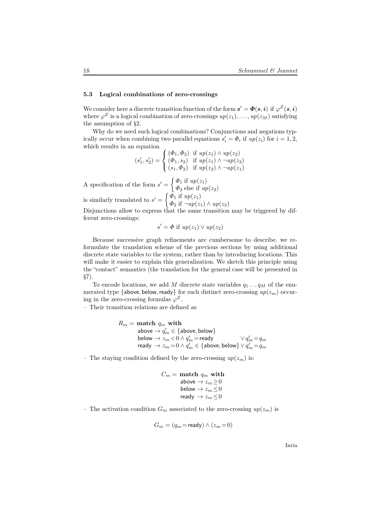#### 5.3 Logical combinations of zero-crossings

We consider here a discrete transition function of the form  $s' = \mathbf{\Phi}(s, i)$  if  $\varphi^Z(s, i)$ where  $\varphi^Z$  is a logical combination of zero-crossings  $up(z_1), \ldots, up(z_M)$  satisfying the assumption of §2.

Why do we need such logical combinations? Conjunctions and negations typically occur when combining two parallel equations  $s_i' = \Phi_i$  if  $up(z_i)$  for  $i = 1, 2$ , which results in an equation

$$
(s'_1, s'_2) = \begin{cases} (\Phi_1, \Phi_2) & \text{if } up(z_1) \wedge up(z_2) \\ (\Phi_1, s_2) & \text{if } up(z_1) \wedge \neg up(z_2) \\ (s_1, \Phi_2) & \text{if } up(z_2) \wedge \neg up(z_1) \end{cases}
$$

A specification of the form  $s' = \begin{cases} \Phi_1 & \text{if } up(z_1) \\ \Phi_2 & \text{else if } \Omega \end{cases}$  $\Phi_2$  else if  $up(z_2)$ is similarly translated to  $s' = \begin{cases} \Phi_1 & \text{if } up(z_1) \\ \Phi_2 & \text{if } \min(x_1) \end{cases}$ 

 $\Phi_2$  if  $\neg up(z_1) \wedge up(z_2)$ Disjunctions allow to express that the same transition may be triggered by dif-

ferent zero-crossings:

$$
s' = \Phi \text{ if } up(z_1) \vee up(z_2)
$$

Because successive graph refinements are cumbersome to describe, we reformulate the translation scheme of the previous sections by using additional discrete state variables to the system, rather than by introducing locations. This will make it easier to explain this generalization. We sketch this principle using the "contact" semantics (the translation for the general case will be presented in §7).

To encode locations, we add  $M$  discrete state variables  $q_1 \ldots q_M$  of the enumerated type {above, below, ready} for each distinct zero-crossing  $up(z_m)$  occuring in the zero-crossing formulas  $\varphi^Z$ .

– Their transition relations are defined as

$$
\begin{array}{ll} R_m=\; \text{match}\; q_m \; \text{with} \\ \text{above} \rightarrow q_m' \in \{\text{above}, \text{below}\} \\ \text{below} \rightarrow z_m \! < \! 0 \land q_m' \!=\! \text{ready} \\ \text{ready} \rightarrow z_m \! = \! 0 \land q_m' \in \{\text{above}, \text{below}\} \lor q_m' \!=\! q_m \\ \end{array}
$$

– The staying condition defined by the zero-crossing  $up(z_m)$  is:

$$
C_m = \text{match } q_m \text{ with}
$$
  
above  $\rightarrow z_m \ge 0$   
below  $\rightarrow z_m \le 0$   
ready  $\rightarrow z_m \le 0$ 

– The activation condition  $G_m$  associated to the zero-crossing  $up(z_m)$  is

$$
G_m = (q_m = \text{ready}) \land (z_m = 0)
$$

Inria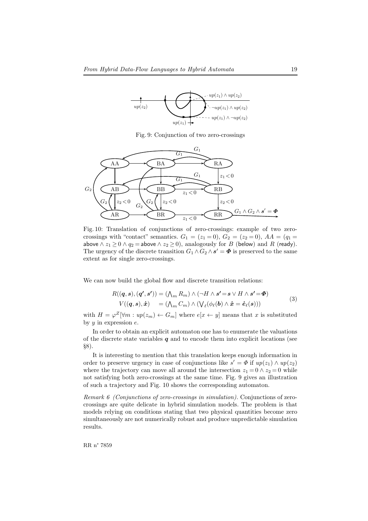

Fig. 9: Conjunction of two zero-crossings



Fig. 10: Translation of conjunctions of zero-crossings: example of two zerocrossings with "contact" semantics.  $G_1 = (z_1 = 0), G_2 = (z_2 = 0), AA = (q_1 = 0)$ above ∧  $z_1 \ge 0 \land q_2 =$  above  $\land z_2 \ge 0$ ), analogously for B (below) and R (ready). The urgency of the discrete transition  $G_1 \wedge G_2 \wedge s' = \mathbf{\Phi}$  is preserved to the same extent as for single zero-crossings.

We can now build the global flow and discrete transition relations:

$$
R((\mathbf{q}, \mathbf{s}), (\mathbf{q'}, \mathbf{s'}) ) = (\bigwedge_m R_m) \land (\neg H \land \mathbf{s'} = \mathbf{s} \lor H \land \mathbf{s'} = \mathbf{\Phi})
$$
  
\n
$$
V((\mathbf{q}, \mathbf{s}), \dot{\mathbf{x}} ) = (\bigwedge_m C_m) \land (\bigvee_{\ell} (\phi_{\ell}(\mathbf{b}) \land \dot{\mathbf{x}} = \dot{\mathbf{e}}_{\ell}(\mathbf{s})) )
$$
\n(3)

with  $H = \varphi^Z[\forall m : up(z_m) \leftarrow G_m]$  where  $e[x \leftarrow y]$  means that x is substituted by  $y$  in expression  $e$ .

In order to obtain an explicit automaton one has to enumerate the valuations of the discrete state variables  $q$  and to encode them into explicit locations (see §8).

It is interesting to mention that this translation keeps enough information in order to preserve urgency in case of conjunctions like  $s' = \Phi$  if  $up(z_1) \wedge up(z_2)$ where the trajectory can move all around the intersection  $z_1 = 0 \wedge z_2 = 0$  while not satisfying both zero-crossings at the same time. Fig. 9 gives an illustration of such a trajectory and Fig. 10 shows the corresponding automaton.

Remark 6 (Conjunctions of zero-crossings in simulation). Conjunctions of zerocrossings are quite delicate in hybrid simulation models. The problem is that models relying on conditions stating that two physical quantities become zero simultaneously are not numerically robust and produce unpredictable simulation results.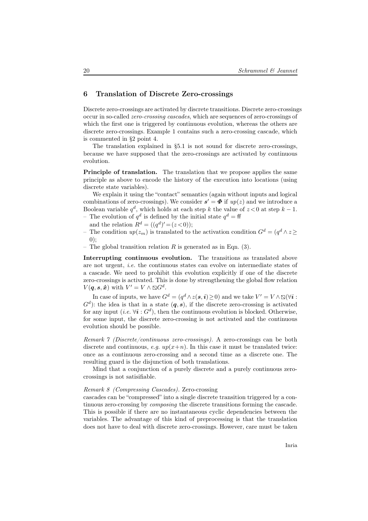# 6 Translation of Discrete Zero-crossings

Discrete zero-crossings are activated by discrete transitions. Discrete zero-crossings occur in so-called zero-crossing cascades, which are sequences of zero-crossings of which the first one is triggered by continuous evolution, whereas the others are discrete zero-crossings. Example 1 contains such a zero-crossing cascade, which is commented in §2 point 4.

The translation explained in §5.1 is not sound for discrete zero-crossings, because we have supposed that the zero-crossings are activated by continuous evolution.

Principle of translation. The translation that we propose applies the same principle as above to encode the history of the execution into locations (using discrete state variables).

We explain it using the "contact" semantics (again without inputs and logical combinations of zero-crossings). We consider  $s' = \Phi$  if  $up(z)$  and we introduce a Boolean variable  $q^d$ , which holds at each step k the value of  $z < 0$  at step  $k - 1$ . - The evolution of  $q^d$  is defined by the initial state  $q^d = \text{ff}$ 

- and the relation  $R^d = ((q^d)' = (z < 0));$
- − The condition  $up(z_m)$  is translated to the activation condition  $G^d = (q^d \wedge z)$  $(0)$ :
- The global transition relation R is generated as in Eqn. (3).

Interrupting continuous evolution. The transitions as translated above are not urgent, i.e. the continuous states can evolve on intermediate states of a cascade. We need to prohibit this evolution explicitly if one of the discrete zero-crossings is activated. This is done by strengthening the global flow relation  $V(\boldsymbol{q},\boldsymbol{s},\boldsymbol{\dot{x}})$  with  $V'=V\wedge\Box G^d$ .

In case of inputs, we have  $G^d = (q^d \wedge z(s, \mathbf{i}) \geq 0)$  and we take  $V' = V \wedge \mathbb{S}(\forall \mathbf{i} :$  $G<sup>d</sup>$ : the idea is that in a state  $(q, s)$ , if the discrete zero-crossing is activated for any input (*i.e.*  $\forall i : G^d$ ), then the continuous evolution is blocked. Otherwise, for some input, the discrete zero-crossing is not activated and the continuous evolution should be possible.

Remark 7 (Discrete/continuous zero-crossings). A zero-crossings can be both discrete and continuous, e.g.  $up(x+n)$ . In this case it must be translated twice: once as a continuous zero-crossing and a second time as a discrete one. The resulting guard is the disjunction of both translations.

Mind that a conjunction of a purely discrete and a purely continuous zerocrossings is not satisifiable.

#### Remark 8 (Compressing Cascades). Zero-crossing

cascades can be "compressed" into a single discrete transition triggered by a continuous zero-crossing by composing the discrete transitions forming the cascade. This is possible if there are no instantaneous cyclic dependencies between the variables. The advantage of this kind of preprocessing is that the translation does not have to deal with discrete zero-crossings. However, care must be taken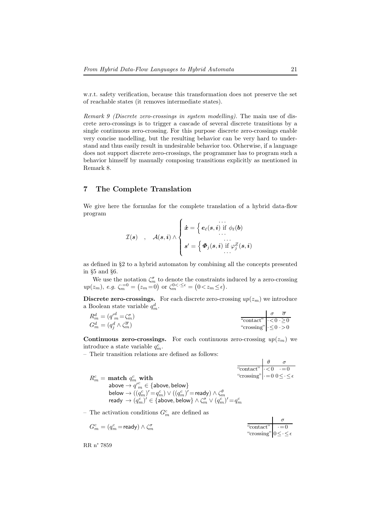w.r.t. safety verification, because this transformation does not preserve the set of reachable states (it removes intermediate states).

Remark 9 (Discrete zero-crossings in system modelling). The main use of discrete zero-crossings is to trigger a cascade of several discrete transitions by a single continuous zero-crossing. For this purpose discrete zero-crossings enable very concise modelling, but the resulting behavior can be very hard to understand and thus easily result in undesirable behavior too. Otherwise, if a language does not support discrete zero-crossings, the programmer has to program such a behavior himself by manually composing transitions explicitly as mentioned in Remark 8.

# 7 The Complete Translation

We give here the formulas for the complete translation of a hybrid data-flow program

$$
\mathcal{I}(\boldsymbol{s}) \quad , \quad \mathcal{A}(\boldsymbol{s}, \boldsymbol{i}) \wedge \left\{ \begin{aligned} \boldsymbol{\dot{x}} & = \left\{ \boldsymbol{e}_{\ell}(\boldsymbol{s}, \boldsymbol{i}) \text{ if } \phi_{\ell}(\boldsymbol{b}) \\ \dots \\ \boldsymbol{s}' & = \left\{ \boldsymbol{\Phi}_j(\boldsymbol{s}, \boldsymbol{i}) \text{ if } \varphi_j^Z(\boldsymbol{s}, \boldsymbol{i}) \right. \right. \end{aligned} \right.
$$

as defined in §2 to a hybrid automaton by combining all the concepts presented in §5 and §6.

We use the notation  $\zeta_m^{\sigma}$  to denote the constraints induced by a zero-crossing  $up(z_m)$ , e.g.  $\zeta_m^{\cdot=0} = (z_m = 0)$  or  $\zeta_m^{0 \lt \cdot \leq \epsilon} = (0 \lt z_m \leq \epsilon)$ .

**Discrete zero-crossings.** For each discrete zero-crossing  $up(z_m)$  we introduce a Boolean state variable  $q_m^d$ .

| $R_m^d = (q_m'^d = \zeta_m^{\sigma})$                |                                                       |  |
|------------------------------------------------------|-------------------------------------------------------|--|
|                                                      | "contact" $\vert \cdot \langle 0 \cdot \rangle \ge 0$ |  |
| $G_m^d = (q_i^d \wedge \zeta_m^{\overline{\sigma}})$ | "crossing" $\cdot \leq 0$ $\cdot > 0$                 |  |

Continuous zero-crossings. For each continuous zero-crossing  $up(z_m)$  we introduce a state variable  $q_m^c$ .

– Their transition relations are defined as follows:

|                                                                                                              | "contact" $\overline{\cdot}$ <0 $\cdot = 0$                |  |
|--------------------------------------------------------------------------------------------------------------|------------------------------------------------------------|--|
| $R_m^c$ = match $q_m^c$ with                                                                                 | "crossing" $\vert \cdot = 0 \, 0 \leq \cdot \leq \epsilon$ |  |
| above $\rightarrow q'{}^c_m \in \{ \text{above}, \text{below} \}$                                            |                                                            |  |
| below $\rightarrow ((q_m^c)' = q_m^c) \vee ((q_m^c)' = \text{ready}) \wedge \zeta_m^{\theta}$                |                                                            |  |
| ready $\rightarrow (q_m^c)' \in \{\text{above}, \text{below}\}\wedge \zeta_m^{\sigma} \vee (q_m^c)' = q_m^c$ |                                                            |  |

– The activation conditions  $G_m^c$  are defined as

|                                                          | .                                          |  |
|----------------------------------------------------------|--------------------------------------------|--|
| $G_m^c = (q_m^c = \text{ready}) \wedge \zeta_m^{\sigma}$ | "contact" $\cdot = 0$                      |  |
|                                                          | "crossing" $0 \leq \epsilon \leq \epsilon$ |  |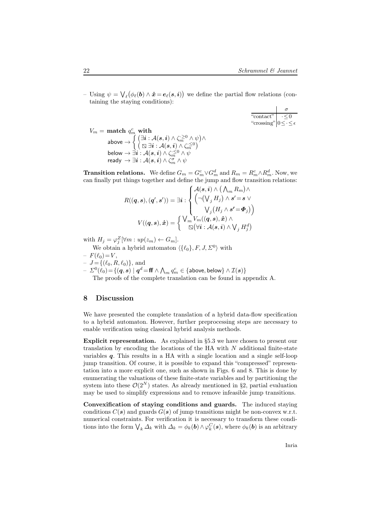− Using  $ψ = √<sub>ℓ</sub>(φ<sub>ℓ</sub>(**b**) ∧ **x̄** = **e**<sub>ℓ</sub>(**s**, **i**))$  we define the partial flow relations (containing the staying conditions):

$$
\begin{array}{c}\n\sigma \\
\hline\n\text{``contact''} \\
\text{``crossing''} \quad 0 \leq \cdot \leq \epsilon\n\end{array}
$$

$$
V_m = \textbf{match} \; q^c_m \; \textbf{with} \\ \text{above} \rightarrow \left\{ \begin{matrix} (\exists \boldsymbol{i}: \mathcal{A}(\boldsymbol{s}, \boldsymbol{i}) \wedge \zeta_n^{\geq 0} \wedge \psi) \wedge \\ (\boxtimes \exists \boldsymbol{i}: \mathcal{A}(\boldsymbol{s}, \boldsymbol{i}) \wedge \zeta_m^{\cdot \leq 0}) \\ \text{below} \rightarrow \exists \boldsymbol{i}: \mathcal{A}(\boldsymbol{s}, \boldsymbol{i}) \wedge \zeta_m^{\cdot \leq 0} \wedge \psi \\ \text{ready} \rightarrow \exists \boldsymbol{i}: \mathcal{A}(\boldsymbol{s}, \boldsymbol{i}) \wedge \zeta_m^{\sigma} \wedge \psi \end{matrix} \right.
$$

**Transition relations.** We define  $G_m = G_m^c \vee G_m^d$  and  $R_m = R_m^c \wedge R_m^d$ . Now, we can finally put things together and define the jump and flow transition relations:

$$
R((\mathbf{q}, \mathbf{s}), (\mathbf{q}', \mathbf{s}')) = \exists \mathbf{i} : \begin{cases} \mathcal{A}(\mathbf{s}, \mathbf{i}) \wedge (\bigwedge_m R_m) \wedge \\ (\neg(\bigvee_j H_j) \wedge \mathbf{s}' = \mathbf{s} \vee \\ \vee_j (H_j \wedge \mathbf{s}' = \mathbf{\Phi}_j) \end{cases}
$$

$$
V((\mathbf{q}, \mathbf{s}), \dot{\mathbf{x}}) = \begin{cases} \bigvee_m V_m((\mathbf{q}, \mathbf{s}), \dot{\mathbf{x}}) \wedge \\ \boxtimes (\forall \mathbf{i} : \mathcal{A}(\mathbf{s}, \mathbf{i}) \wedge \bigvee_j H_j^d) \end{cases}
$$

with  $H_j = \varphi_j^Z[\forall m : up(z_m) \leftarrow G_m].$ 

We obtain a hybrid automaton  $\langle \{\ell_0\}, F, J, \Sigma^0 \rangle$  with  $-F(\ell_0)=V$ 

$$
- J = \{ (\ell_0, R, \ell_0) \}, \text{ and}
$$

 $-\varSigma^0(\hat{\ell}_0) \!=\! \{(\bm{q}, \bm{s}) \mid \bm{q}^d \!=\! \bm{\mathsf{f}} \!\bm{\mathsf{f}} \land \bigwedge_m q^c_m \in \{\textsf{above}, \textsf{below}\} \land \mathcal{I}(\bm{s})\}$ 

The proofs of the complete translation can be found in appendix A.

## 8 Discussion

We have presented the complete translation of a hybrid data-flow specification to a hybrid automaton. However, further preprocessing steps are necessary to enable verification using classical hybrid analysis methods.

Explicit representation. As explained in §5.3 we have chosen to present our translation by encoding the locations of the HA with  $N$  additional finite-state variables  $q$ . This results in a HA with a single location and a single self-loop jump transition. Of course, it is possible to expand this "compressed" representation into a more explicit one, such as shown in Figs. 6 and 8. This is done by enumerating the valuations of these finite-state variables and by partitioning the system into these  $\mathcal{O}(2^N)$  states. As already mentioned in §2, partial evaluation may be used to simplify expressions and to remove infeasible jump transitions.

Convexification of staying conditions and guards. The induced staying conditions  $C(s)$  and guards  $G(s)$  of jump transitions might be non-convex w.r.t. numerical constraints. For verification it is necessary to transform these conditions into the form  $\bigvee_k \Delta_k$  with  $\Delta_k = \phi_k(b) \wedge \varphi_k^C(s)$ , where  $\phi_k(b)$  is an arbitrary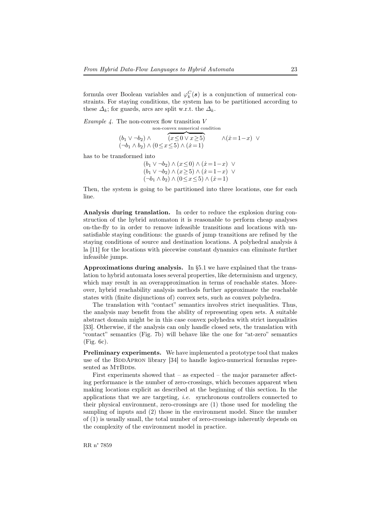formula over Boolean variables and  $\varphi_k^C(s)$  is a conjunction of numerical constraints. For staying conditions, the system has to be partitioned according to these  $\Delta_k$ ; for guards, arcs are split w.r.t. the  $\Delta_k$ .

*Example 4.* The non-convex flow transition  $V$ 

non-convex numerical condition  
\n
$$
(b_1 \vee \neg b_2) \wedge \overbrace{(x \le 0 \vee x \ge 5)}^{non-convex \text{ numerical condition}}
$$
\n
$$
(\neg b_1 \wedge b_2) \wedge (0 \le x \le 5) \wedge (x = 1)
$$

has to be transformed into

 $(b_1 \vee \neg b_2) \wedge (x \leq 0) \wedge (x = 1-x) \vee$  $(b_1 \vee \neg b_2) \wedge (x \geq 5) \wedge (x = 1-x) \vee$  $(\neg b_1 \land b_2) \land (0 \leq x \leq 5) \land (\dot{x}=1)$ 

Then, the system is going to be partitioned into three locations, one for each line.

Analysis during translation. In order to reduce the explosion during construction of the hybrid automaton it is reasonable to perform cheap analyses on-the-fly to in order to remove infeasible transitions and locations with unsatisfiable staying conditions: the guards of jump transitions are refined by the staying conditions of source and destination locations. A polyhedral analysis à la [11] for the locations with piecewise constant dynamics can eliminate further infeasible jumps.

Approximations during analysis. In  $\S 5.1$  we have explained that the translation to hybrid automata loses several properties, like determinism and urgency, which may result in an overapproximation in terms of reachable states. Moreover, hybrid reachability analysis methods further approximate the reachable states with (finite disjunctions of) convex sets, such as convex polyhedra.

The translation with "contact" semantics involves strict inequalities. Thus, the analysis may benefit from the ability of representing open sets. A suitable abstract domain might be in this case convex polyhedra with strict inequalities [33]. Otherwise, if the analysis can only handle closed sets, the translation with "contact" semantics (Fig. 7b) will behave like the one for "at-zero" semantics (Fig. 6c).

Preliminary experiments. We have implemented a prototype tool that makes use of the BDDAPRON library  $[34]$  to handle logico-numerical formulas represented as MTBDDs.

First experiments showed that  $-$  as expected  $-$  the major parameter affecting performance is the number of zero-crossings, which becomes apparent when making locations explicit as described at the beginning of this section. In the applications that we are targeting, i.e. synchronous controllers connected to their physical environment, zero-crossings are (1) those used for modeling the sampling of inputs and (2) those in the environment model. Since the number of (1) is usually small, the total number of zero-crossings inherently depends on the complexity of the environment model in practice.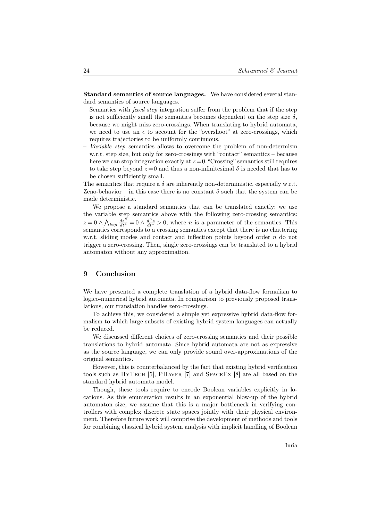Standard semantics of source languages. We have considered several standard semantics of source languages.

- Semantics with *fixed step* integration suffer from the problem that if the step is not sufficiently small the semantics becomes dependent on the step size  $\delta$ , because we might miss zero-crossings. When translating to hybrid automata, we need to use an  $\epsilon$  to account for the "overshoot" at zero-crossings, which requires trajectories to be uniformly continuous.
- Variable step semantics allows to overcome the problem of non-determism w.r.t. step size, but only for zero-crossings with "contact" semantics – because here we can stop integration exactly at  $z = 0$ . "Crossing" semantics still requires to take step beyond  $z=0$  and thus a non-infinitesimal  $\delta$  is needed that has to be chosen sufficiently small.

The semantics that require a  $\delta$  are inherently non-deterministic, especially w.r.t. Zeno-behavior – in this case there is no constant  $\delta$  such that the system can be made deterministic.

We propose a standard semantics that can be translated exactly: we use the variable step semantics above with the following zero-crossing semantics:  $z = 0 \wedge \bigwedge_{k \leq n} \frac{dz^k}{dt^k} = 0 \wedge \frac{d^n z}{dt^n} > 0$ , where *n* is a parameter of the semantics. This semantics corresponds to a crossing semantics except that there is no chattering w.r.t. sliding modes and contact and inflection points beyond order n do not trigger a zero-crossing. Then, single zero-crossings can be translated to a hybrid automaton without any approximation.

# 9 Conclusion

We have presented a complete translation of a hybrid data-flow formalism to logico-numerical hybrid automata. In comparison to previously proposed translations, our translation handles zero-crossings.

To achieve this, we considered a simple yet expressive hybrid data-flow formalism to which large subsets of existing hybrid system languages can actually be reduced.

We discussed different choices of zero-crossing semantics and their possible translations to hybrid automata. Since hybrid automata are not as expressive as the source language, we can only provide sound over-approximations of the original semantics.

However, this is counterbalanced by the fact that existing hybrid verification tools such as HyTech [5], PHaver [7] and SpaceEx [8] are all based on the standard hybrid automata model.

Though, these tools require to encode Boolean variables explicitly in locations. As this enumeration results in an exponential blow-up of the hybrid automaton size, we assume that this is a major bottleneck in verifying controllers with complex discrete state spaces jointly with their physical environment. Therefore future work will comprise the development of methods and tools for combining classical hybrid system analysis with implicit handling of Boolean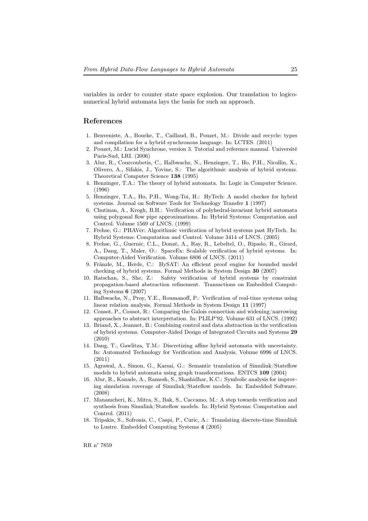variables in order to counter state space explosion. Our translation to logiconumerical hybrid automata lays the basis for such an approach.

# References

- 1. Benveniste, A., Bourke, T., Caillaud, B., Pouzet, M.: Divide and recycle: types and compilation for a hybrid synchronous language. In: LCTES. (2011)
- 2. Pouzet, M.: Lucid Synchrone, version 3. Tutorial and reference manual. Université Paris-Sud, LRI. (2006)
- 3. Alur, R., Courcoubetis, C., Halbwachs, N., Henzinger, T., Ho, P.H., Nicollin, X., Olivero, A., Sifakis, J., Yovine, S.: The algorithmic analysis of hybrid systems. Theoretical Computer Science 138 (1995)
- 4. Henzinger, T.A.: The theory of hybrid automata. In: Logic in Computer Science. (1996)
- 5. Henzinger, T.A., Ho, P.H., Wong-Toi, H.: HyTech: A model checker for hybrid systems. Journal on Software Tools for Technology Transfer 1 (1997)
- 6. Chutinan, A., Krogh, B.H.: Verification of polyhedral-invariant hybrid automata using polygonal flow pipe approximations. In: Hybrid Systems: Computation and Control. Volume 1569 of LNCS. (1999)
- 7. Frehse, G.: PHAVer: Algorithmic verification of hybrid systems past HyTech. In: Hybrid Systems: Computation and Control. Volume 3414 of LNCS. (2005)
- 8. Frehse, G., Guernic, C.L., Donzé, A., Ray, R., Lebeltel, O., Ripado, R., Girard, A., Dang, T., Maler, O.: SpaceEx: Scalable verification of hybrid systems. In: Computer-Aided Verification. Volume 6806 of LNCS. (2011)
- 9. Fränzle, M., Herde, C.: HySAT: An efficient proof engine for bounded model checking of hybrid systems. Formal Methods in System Design 30 (2007)
- 10. Ratschan, S., She, Z.: Safety verification of hybrid systems by constraint propagation-based abstraction refinement. Transactions on Embedded Computing Systems 6 (2007)
- 11. Halbwachs, N., Proy, Y.E., Roumanoff, P.: Verification of real-time systems using linear relation analysis. Formal Methods in System Design 11 (1997)
- 12. Cousot, P., Cousot, R.: Comparing the Galois connection and widening/narrowing approaches to abstract interpretation. In: PLILP'92. Volume 631 of LNCS. (1992)
- 13. Briand, X., Jeannet, B.: Combining control and data abstraction in the verification of hybrid systems. Computer-Aided Design of Integrated Circuits and Systems 29 (2010)
- 14. Dang, T., Gawlitza, T.M.: Discretizing affine hybrid automata with uncertainty. In: Automated Technology for Verification and Analysis. Volume 6996 of LNCS. (2011)
- 15. Agrawal, A., Simon, G., Karsai, G.: Semantic translation of Simulink/Stateflow models to hybrid automata using graph transformations. ENTCS 109 (2004)
- 16. Alur, R., Kanade, A., Ramesh, S., Shashidhar, K.C.: Symbolic analysis for improving simulation coverage of Simulink/Stateflow models. In: Embedded Software. (2008)
- 17. Manamcheri, K., Mitra, S., Bak, S., Caccamo, M.: A step towards verification and synthesis from Simulink/Stateflow models. In: Hybrid Systems: Computation and Control. (2011)
- 18. Tripakis, S., Sofronis, C., Caspi, P., Curic, A.: Translating discrete-time Simulink to Lustre. Embedded Computing Systems 4 (2005)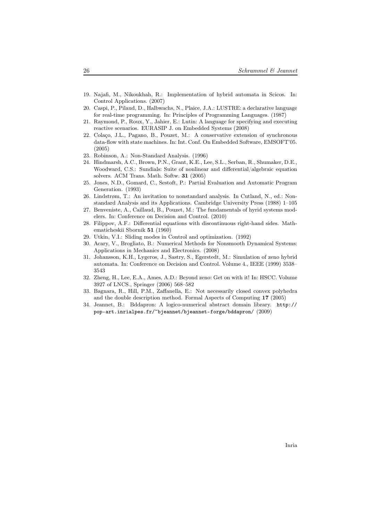- 19. Najafi, M., Nikoukhah, R.: Implementation of hybrid automata in Scicos. In: Control Applications. (2007)
- 20. Caspi, P., Pilaud, D., Halbwachs, N., Plaice, J.A.: LUSTRE: a declarative language for real-time programming. In: Principles of Programming Languages. (1987)
- 21. Raymond, P., Roux, Y., Jahier, E.: Lutin: A language for specifying and executing reactive scenarios. EURASIP J. on Embedded Systems (2008)
- 22. Colaço, J.L., Pagano, B., Pouzet, M.: A conservative extension of synchronous data-flow with state machines. In: Int. Conf. On Embedded Software, EMSOFT'05. (2005)
- 23. Robinson, A.: Non-Standard Analysis. (1996)
- 24. Hindmarsh, A.C., Brown, P.N., Grant, K.E., Lee, S.L., Serban, R., Shumaker, D.E., Woodward, C.S.: Sundials: Suite of nonlinear and differential/algebraic equation solvers. ACM Trans. Math. Softw. 31 (2005)
- 25. Jones, N.D., Gomard, C., Sestoft, P.: Partial Evaluation and Automatic Program Generation. (1993)
- 26. Lindstrøm, T.: An invitation to nonstandard analysis. In Cutland, N., ed.: Nonstandard Analysis and its Applications. Cambridge University Press (1988) 1–105
- 27. Benveniste, A., Caillaud, B., Pouzet, M.: The fundamentals of hyrid systems modelers. In: Conference on Decision and Control. (2010)
- 28. Filippov, A.F.: Differential equations with discontinuous right-hand sides. Mathematicheskii Sbornik 51 (1960)
- 29. Utkin, V.I.: Sliding modes in Control and optimization. (1992)
- 30. Acary, V., Brogliato, B.: Numerical Methods for Nonsmooth Dynamical Systems: Applications in Mechanics and Electronics. (2008)
- 31. Johansson, K.H., Lygeros, J., Sastry, S., Egerstedt, M.: Simulation of zeno hybrid automata. In: Conference on Decision and Control. Volume 4., IEEE (1999) 3538– 3543
- 32. Zheng, H., Lee, E.A., Ames, A.D.: Beyond zeno: Get on with it! In: HSCC. Volume 3927 of LNCS., Springer (2006) 568–582
- 33. Bagnara, R., Hill, P.M., Zaffanella, E.: Not necessarily closed convex polyhedra and the double description method. Formal Aspects of Computing 17 (2005)
- 34. Jeannet, B.: Bddapron: A logico-numerical abstract domain library. http:// pop-art.inrialpes.fr/~bjeannet/bjeannet-forge/bddapron/ (2009)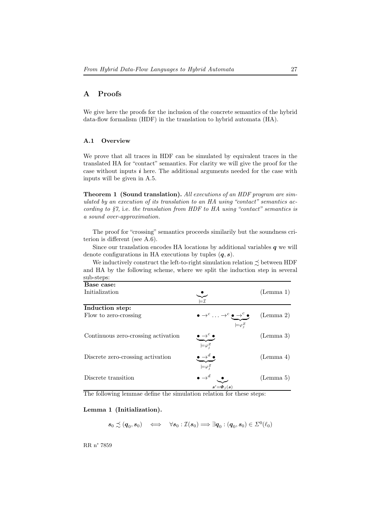# A Proofs

We give here the proofs for the inclusion of the concrete semantics of the hybrid data-flow formalism (HDF) in the translation to hybrid automata (HA).

# A.1 Overview

We prove that all traces in HDF can be simulated by equivalent traces in the translated HA for "contact" semantics. For clarity we will give the proof for the case without inputs  $i$  here. The additional arguments needed for the case with inputs will be given in A.5.

**Theorem 1 (Sound translation).** All executions of an HDF program are simulated by an execution of its translation to an HA using "contact" semantics according to  $\S$ 7, i.e. the translation from HDF to HA using "contact" semantics is a sound over-approximation.

The proof for "crossing" semantics proceeds similarily but the soundness criterion is different (see A.6).

Since our translation encodes HA locations by additional variables  $q$  we will denote configurations in HA executions by tuples  $(q, s)$ .

We inductively construct the left-to-right simulation relation  $\precsim$  between HDF and HA by the following scheme, where we split the induction step in several sub-steps:

| Base case:                          |                                                                                                              |           |
|-------------------------------------|--------------------------------------------------------------------------------------------------------------|-----------|
| Initialization                      | $=\mathcal{I}$                                                                                               | (Lemma 1) |
| Induction step:                     |                                                                                                              |           |
| Flow to zero-crossing               | $\bullet \rightarrow^c \ldots \rightarrow^c \bullet \rightarrow^c \bullet$<br>$\models\varphi_i^Z$           | (Lemma 2) |
| Continuous zero-crossing activation | $\begin{array}{c}\n\bullet \rightarrow^c \bullet \\ \overline{\phantom{0}} \models \varphi^Z_j\n\end{array}$ | (Lemma 3) |
| Discrete zero-crossing activation   | $\stackrel{\bullet}{\Longrightarrow}^{\!\!\!\!\!d} \stackrel{\bullet}{\leadsto}$<br>$\models \varphi_i^Z$    | (Lemma 4) |
| Discrete transition                 | $\bullet \rightarrow^d$<br>$s' = \Phi_i(s)$                                                                  | (Lemma 5) |

The following lemmae define the simulation relation for these steps:

# Lemma 1 (Initialization).

$$
s_0 \precsim (\boldsymbol{q}_0,s_0) \quad \Longleftrightarrow \quad \forall s_0 : \mathcal{I}(s_0) \Longrightarrow \exists \boldsymbol{q}_0 : (\boldsymbol{q}_0,s_0) \in \varSigma^0(\ell_0)
$$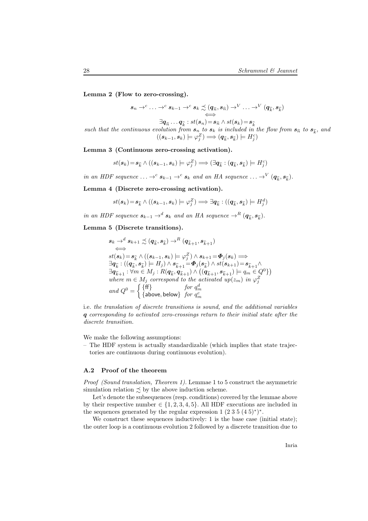Lemma 2 (Flow to zero-crossing).

$$
s_n \to^c \ldots \to^c s_{k-1} \to^c s_k \precsim (q_{\widehat{n}}, s_{\widehat{n}}) \to^V \ldots \to^V (q_{\widehat{k}}, s_{\widehat{k}})
$$
  
\n
$$
\xrightarrow{\cong} q_{\widehat{n}} \ldots q_{\widehat{k}} : st(s_n) = s_{\widehat{n}} \wedge st(s_k) = s_{\widehat{k}}
$$
  
\nsuch that the continuous evolution from  $s_n$  to  $s_k$  is included in the flow from  $s_{\widehat{n}}$  to  $s_{\widehat{k}}$ , and  
\n
$$
((s_{k-1}, s_k) \models \varphi_j^Z) \Longrightarrow (q_{\widehat{k}}, s_{\widehat{k}}) \models H_j^c)
$$

Lemma 3 (Continuous zero-crossing activation).

$$
st(\boldsymbol{s}_k)\!=\!\boldsymbol{s}_{\widehat{k}}\wedge((\boldsymbol{s}_{k-1},\boldsymbol{s}_{k})\models\varphi_j^Z)\Longrightarrow(\exists\boldsymbol{q}_{\widehat{k}}:(\boldsymbol{q}_{\widehat{k}},\boldsymbol{s}_{\widehat{k}})\models H_j^c)
$$

in an HDF sequence  $\ldots \rightarrow^c s_{k-1} \rightarrow^c s_k$  and an HA sequence  $\ldots \rightarrow^V (q_{\widehat{k}}, s_{\widehat{k}})$ .

Lemma 4 (Discrete zero-crossing activation).

$$
st(\boldsymbol{s}_k) = \boldsymbol{s}_{\widehat{k}} \wedge ((\boldsymbol{s}_{k-1}, \boldsymbol{s}_k) \models \varphi_j^Z) \Longrightarrow \exists \boldsymbol{q}_{\widehat{k}} : ((\boldsymbol{q}_{\widehat{k}}, \boldsymbol{s}_{\widehat{k}}) \models H_j^d)
$$

in an HDF sequence  $s_{k-1} \rightharpoonup^d s_k$  and an HA sequence  $\rightharpoonup^R (q_{\widehat{k}}, s_{\widehat{k}})$ .

Lemma 5 (Discrete transitions).

$$
s_k \to^d s_{k+1} \precsim (q_{\widehat{k}}, s_{\widehat{k}}) \to^R (q_{\widehat{k}+1}, s_{\widehat{k}+1})
$$
  
\n
$$
\iff
$$
  
\n
$$
st(s_k) = s_{\widehat{k}} \land ((s_{k-1}, s_k) \models \varphi_j^Z) \land s_{k+1} = \Phi_j(s_k) \Longrightarrow
$$
  
\n
$$
\exists q_{\widehat{k}} : ((q_{\widehat{k}}, s_{\widehat{k}}) \models H_j) \land s_{\widehat{k}+1} = \Phi_j(s_{\widehat{k}}) \land st(s_{k+1}) = s_{\widehat{k}+1} \land
$$
  
\n
$$
\exists q_{\widehat{k}+1} : \forall m \in M_j : R(q_{\widehat{k}}, q_{\widehat{k}+1}) \land ((q_{\widehat{k}+1}, s_{\widehat{k}+1}) \models q_m \in Q^0)
$$
  
\nwhere  $m \in M_j$  correspond to the activated up( $z_m$ ) in  $\varphi_j^Z$   
\nand  $Q^0 = \begin{cases} \{\mathsf{ff}\} & \text{for } q_m^d \\ \{\text{above, below}\} & \text{for } q_m^c \end{cases}$ 

i.e. the translation of discrete transitions is sound, and the additional variables q corresponding to activated zero-crossings return to their initial state after the discrete transition.

We make the following assumptions:

– The HDF system is actually standardizable (which implies that state trajectories are continuous during continuous evolution).

#### A.2 Proof of the theorem

Proof (Sound translation, Theorem 1). Lemmae 1 to 5 construct the asymmetric simulation relation  $\preceq$  by the above induction scheme.

Let's denote the subsequences (resp. conditions) covered by the lemmae above by their respective number  $\in \{1, 2, 3, 4, 5\}$ . All HDF executions are included in the sequences generated by the regular expression  $1 (2 3 5 (4 5)^*)^*$ .

We construct these sequences inductively: 1 is the base case (initial state); the outer loop is a continuous evolution 2 followed by a discrete transition due to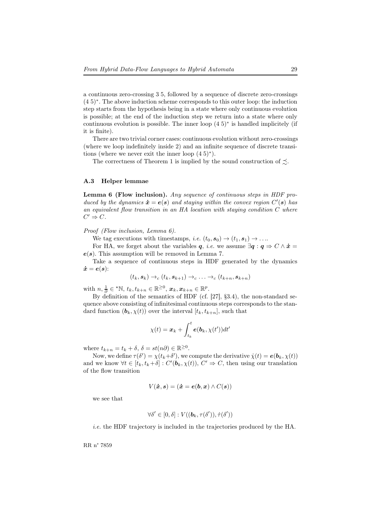a continuous zero-crossing 3 5, followed by a sequence of discrete zero-crossings (4 5)<sup>∗</sup> . The above induction scheme corresponds to this outer loop: the induction step starts from the hypothesis being in a state where only continuous evolution is possible; at the end of the induction step we return into a state where only continuous evolution is possible. The inner loop (4 5)<sup>∗</sup> is handled implicitely (if it is finite).

There are two trivial corner cases: continuous evolution without zero-crossings (where we loop indefinitely inside 2) and an infinite sequence of discrete transitions (where we never exit the inner loop  $(4\ 5)^*$ ).

The correctness of Theorem 1 is implied by the sound construction of  $\preceq$ .

#### A.3 Helper lemmae

Lemma 6 (Flow inclusion). Any sequence of continuous steps in HDF produced by the dynamics  $\dot{\boldsymbol{x}} = \boldsymbol{e}(\boldsymbol{s})$  and staying within the convex region  $C'(\boldsymbol{s})$  has an equivalent flow transition in an HA location with staying condition C where  $C' \Rightarrow C$ .

Proof (Flow inclusion, Lemma 6).

We tag executions with timestamps, *i.e.*  $(t_0, s_0) \rightarrow (t_1, s_1) \rightarrow \dots$ 

For HA, we forget about the variables q, *i.e.* we assume  $\exists q : q \Rightarrow C \wedge \dot{x} =$  $e(s)$ . This assumption will be removed in Lemma 7.

Take a sequence of continuous steps in HDF generated by the dynamics  $\dot{\boldsymbol{x}} = \boldsymbol{e}(\boldsymbol{s})$ :

$$
(t_k, s_k) \rightarrow_c (t_k, s_{k+1}) \rightarrow_c \ldots \rightarrow_c (t_{k+n}, s_{k+n})
$$

with  $n, \frac{1}{\partial} \in {}^{\star} \mathbb{N}, t_k, t_{k+n} \in \mathbb{R}^{\geq 0}, x_k, x_{k+n} \in \mathbb{R}^p$ .

By definition of the semantics of HDF (cf. [27], §3.4), the non-standard sequence above consisting of infinitesimal continuous steps corresponds to the standard function  $(b_k, \chi(t))$  over the interval  $[t_k, t_{k+n}]$ , such that

$$
\chi(t) = \boldsymbol{x}_k + \int_{t_k}^t \boldsymbol{e}(\boldsymbol{b}_k, \chi(t')) dt'
$$

where  $t_{k+n} = t_k + \delta, \, \delta = st(n\partial) \in \mathbb{R}^{\geq 0}$ .

Now, we define  $\tau(\delta') = \chi(t_k + \delta')$ , we compute the derivative  $\dot{\chi}(t) = e(b_k, \chi(t))$ and we know  $\forall t \in [t_k, t_k + \delta] : C'(\mathbf{b}_k, \chi(t)), C' \Rightarrow C$ , then using our translation of the flow transition

$$
V(\dot{x}, s) = (\dot{x} = e(b, x) \wedge C(s))
$$

we see that

$$
\forall \delta' \in [0, \delta] : V((\boldsymbol{b}_k, \tau(\delta')), \dot{\tau}(\delta'))
$$

i.e. the HDF trajectory is included in the trajectories produced by the HA.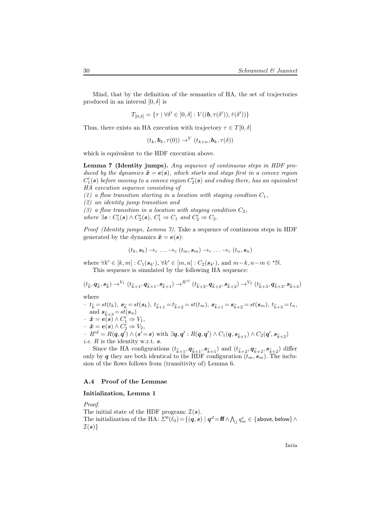Mind, that by the definition of the semantics of HA, the set of trajectories produced in an interval  $[0, \delta]$  is

$$
T_{[0,\delta]} = \{ \tau \mid \forall \delta' \in [0,\delta] : V((\boldsymbol{b},\tau(\delta')), \dot{\tau}(\delta')) \}
$$

Thus, there exists an HA execution with trajectory  $\tau \in T[0, \delta]$ 

 $(t_k, \mathbf{b}_k, \tau(0)) \rightarrow^{V} (t_{k+n}, \mathbf{b}_k, \tau(\delta))$ 

which is equivalent to the HDF execution above.

Lemma 7 (Identity jumps). Any sequence of continuous steps in HDF produced by the dynamics  $\dot{\mathbf{x}} = \mathbf{e}(\mathbf{s})$ , which starts and stays first in a convex region  $C_1'(\bm{s})$  before moving to a convex region  $C_2'(\bm{s})$  and ending there, has an equivalent HA execution sequence consisting of

(1) a flow transition starting in a location with staying condtion  $C_1$ ,

(2) an identity jump transition and

(3) a flow transition in a location with staying condition  $C_2$ , where  $\exists s : C'_1(s) \wedge C'_2(s), C'_1 \Rightarrow C_1$  and  $C'_2 \Rightarrow C_2$ .

Proof (Identity jumps, Lemma 7). Take a sequence of continuous steps in HDF generated by the dynamics  $\dot{x} = e(s)$ :

$$
(t_k, s_k) \rightarrow_c \ldots \rightarrow_c (t_m, s_m) \rightarrow_c \ldots \rightarrow_c (t_n, s_n)
$$

where  $\forall k' \in [k, m] : C_1(\mathbf{s}_{k'})$ ,  $\forall k' \in [m, n] : C_2(\mathbf{s}_{k'})$ , and  $m-k, n-m \in \text{*N}$ . This sequence is simulated by the following HA sequence:

$$
(t_{\widehat{k}},\textbf{q}_{\widehat{k}},\textbf{s}_{\widehat{k}})\rightarrow^{V_1}(t_{\widehat{k}+1},\textbf{q}_{\widehat{k}+1},\textbf{s}_{\widehat{k}+1})\rightarrow^{R^{id}}(t_{\widehat{k}+2},\textbf{q}_{\widehat{k}+2},\textbf{s}_{\widehat{k}+2})\rightarrow^{V_2}(t_{\widehat{k}+3},\textbf{q}_{\widehat{k}+3},\textbf{s}_{\widehat{k}+3})
$$

where

 $-t_{\widehat k} = st(t_k), \; \pmb{s}_{\widehat k} = st(\pmb{s}_k), \; t_{\widehat k+1} = t_{\widehat k+2} = st(t_m), \; \pmb{s}_{\widehat k+1} = \pmb{s}_{\widehat k+2} = st(\pmb{s}_m), \; t_{\widehat k+3} = t_n,$ and  $s_{\widehat{k}+3} = st(s_n)$  $- \dot{x} = e(s) \wedge C'_1 \Rightarrow V_1,$  $- \dot{x} = e(s) \wedge C_2' \Rightarrow V_2,$  $-R^{id}=R(\bm{q},\bm{q}')\wedge(\bm{s}'\!=\!\bm{s}) \text{ with } \exists \bm{q},\bm{q}': R(\bm{q},\bm{q}')\wedge C_1(\bm{q},\bm{s}_{\widehat{k}+1})\wedge C_2(\bm{q}',\bm{s}_{\widehat{k}+2})$ *i.e.*  $R$  is the identity w.r.t.  $s$ .

Since the HA configurations  $(t_{\hat{k}+1}, q_{\hat{k}+1}, s_{\hat{k}+1})$  and  $(t_{\hat{k}+2}, q_{\hat{k}+2}, s_{\hat{k}+2})$  differ only by q they are both identical to the HDF configuration  $(t_m, s_m)$ . The inclusion of the flows follows from (transitivity of) Lemma 6.

### A.4 Proof of the Lemmae

#### Initialization, Lemma 1

Proof.

The initial state of the HDF program:  $\mathcal{I}(\mathbf{s})$ . The initialization of the HA:  $\Sigma^0(\ell_0) \!=\! \{(\bm q, \bm s) \mid \bm q^d \!=\! \bm {\mathsf {ff}} \wedge \bigwedge_j q^c_m \in \{\textsf{above}, \textsf{below}\} \wedge$  $\mathcal{I}(\boldsymbol{s})\}$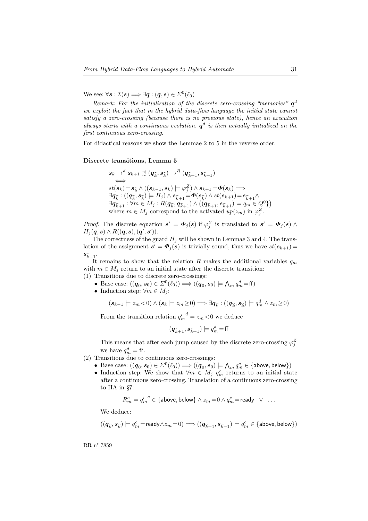We see:  $\forall s : \mathcal{I}(s) \Longrightarrow \exists q : (q, s) \in \Sigma^0(\ell_0)$ 

Remark: For the initialization of the discrete zero-crossing "memories"  $q<sup>d</sup>$ we exploit the fact that in the hybrid data-flow language the initial state cannot satisfy a zero-crossing (because there is no previous state), hence an execution always starts with a continuous evolution.  $q^d$  is then actually initialized on the first continuous zero-crossing.

For didactical reasons we show the Lemmae 2 to 5 in the reverse order.

#### Discrete transitions, Lemma 5

$$
s_k \to^d s_{k+1} \precsim (q_{\widehat{k}}, s_{\widehat{k}}) \to^R (q_{\widehat{k}+1}, s_{\widehat{k}+1})
$$
  
\n
$$
\iff
$$
  
\n
$$
st(s_k) = s_{\widehat{k}} \land ((s_{k-1}, s_k) \models \varphi_j^Z) \land s_{k+1} = \Phi(s_k) \Longrightarrow
$$
  
\n
$$
\exists q_{\widehat{k}} : ((q_{\widehat{k}}, s_{\widehat{k}}) \models H_j) \land s_{\widehat{k}+1} = \Phi(s_{\widehat{k}}) \land st(s_{k+1}) = s_{\widehat{k}+1} \land
$$
  
\n
$$
\exists q_{\widehat{k}+1} : \forall m \in M_j : R(q_{\widehat{k}}, q_{\widehat{k}+1}) \land ((q_{\widehat{k}+1}, s_{\widehat{k}+1}) \models q_m \in Q^0)
$$
  
\nwhere  $m \in M_j$  correspond to the activated  $up(z_m)$  in  $\varphi_j^Z$ .

*Proof.* The discrete equation  $s' = \mathbf{\Phi}_j(s)$  if  $\varphi_j^Z$  is translated to  $s' = \mathbf{\Phi}_j(s) \wedge \varphi_j^Z(s)$  $H_j(q,s) \wedge R((q,s),(q',s')).$ 

The correctness of the guard  $H_j$  will be shown in Lemmae 3 and 4. The translation of the assignment  $s' = \boldsymbol{\Phi}_j(s)$  is trivially sound, thus we have  $st(s_{k+1}) =$  $s_{\widehat{k}+1}.$ 

It remains to show that the relation R makes the additional variables  $q_m$ with  $m \in M_i$  return to an initial state after the discrete transition: (1) Transitions due to discrete zero-crossings:

- Base case:  $((\boldsymbol{q}_0, \boldsymbol{s}_0) \in \Sigma^0(\ell_0)) \Longrightarrow ((\boldsymbol{q}_0, \boldsymbol{s}_0) \models \bigwedge_m q_m^d = \boldsymbol{\mathsf{ff}})$
- Induction step:  $\forall m \in M_i$ :

$$
(\mathbf{s}_{k-1}\models z_m<0)\land(\mathbf{s}_k\models z_m\geq 0)\Longrightarrow\exists\mathbf{q}_{\widehat{k}}:(\left(\mathbf{q}_{\widehat{k}},\mathbf{s}_{\widehat{k}}\right)\models q_m^d\land z_m\geq 0)
$$

From the transition relation  $q'_m{}^d = z_m < 0$  we deduce

$$
(\boldsymbol{q}_{\widehat{k}+1},\boldsymbol{s}_{\widehat{k}+1})\models q_m^d\!=\!\textsf{ff}
$$

This means that after each jump caused by the discrete zero-crossing  $\varphi_j^Z$ we have  $q_m^d = \text{ff}$ .

(2) Transitions due to continuous zero-crossings:

- Base case:  $((\boldsymbol{q}_0,\boldsymbol{s}_0)\in\Sigma^0(\ell_0))\Longrightarrow ((\boldsymbol{q}_0,\boldsymbol{s}_0)\models \bigwedge_m q_m^c\in\{\textsf{above},\textsf{below}\})$
- Induction step: We show that  $\forall m \in M_j$   $q_m^c$  returns to an initial state after a continuous zero-crossing. Translation of a continuous zero-crossing to HA in §7:

$$
R_m^c = {q_m'}^c \in \{\text{above}, \text{below}\} \land z_m \! = \! 0 \land q_m^c \! = \! \text{ready} \quad \lor \quad \ldots
$$

We deduce:

$$
((\boldsymbol{q}_{\widehat{k}},\boldsymbol{s}_{\widehat{k}})\models q_m^c=\text{ready} \wedge z_m\!=\!0) \Longrightarrow ((\boldsymbol{q}_{\widehat{k}+1},\boldsymbol{s}_{\widehat{k}+1})\models q_m^c \in \{\text{above}, \text{below}\})
$$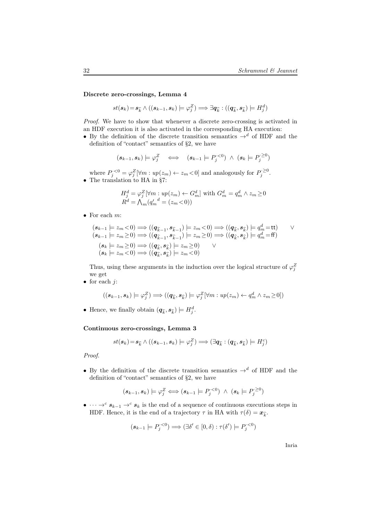Discrete zero-crossings, Lemma 4

$$
st(\boldsymbol{s}_k)\!=\!\boldsymbol{s}_{\widehat{k}}\wedge((\boldsymbol{s}_{k-1},\boldsymbol{s}_{k})\models\varphi^Z_j)\Longrightarrow\exists\boldsymbol{q}_{\widehat{k}}:((\boldsymbol{q}_{\widehat{k}},\boldsymbol{s}_{\widehat{k}})\models H^d_j)
$$

Proof. We have to show that whenever a discrete zero-crossing is activated in an HDF execution it is also activated in the corresponding HA execution:

• By the definition of the discrete transition semantics  $\rightarrow^d$  of HDF and the definition of "contact" semantics of §2, we have

$$
(\mathbf{s}_{k-1},\mathbf{s}_k) \models \varphi_j^Z \iff (\mathbf{s}_{k-1} \models P_j^{<0}) \land (\mathbf{s}_k \models P_j^{>0})
$$

where  $P_j^{\cdot <0} = \varphi_j^Z [\forall m : up(z_m) \leftarrow z_m \leftarrow 0]$  and analogously for  $P_j^{\cdot \geq 0}$ . • The translation to HA in §7:

$$
H_j^d = \varphi_j^Z[\forall m : up(z_m) \leftarrow G_m^d] \text{ with } G_m^d = q_m^d \wedge z_m \ge 0
$$
  

$$
R^d = \bigwedge_m (q_m^d = (z_m < 0))
$$

• For each  $m$ :

$$
(s_{k-1} \models z_m < 0) \Longrightarrow ((q_{\widehat{k}-1}, s_{\widehat{k}-1}) \models z_m < 0) \Longrightarrow ((q_{\widehat{k}}, s_{\widehat{k}}) \models q_m^d = \text{tt}) \qquad \vee
$$
\n
$$
(s_{k-1} \models z_m \ge 0) \Longrightarrow ((q_{\widehat{k}-1}, s_{\widehat{k}-1}) \models z_m \ge 0) \Longrightarrow ((q_{\widehat{k}}, s_{\widehat{k}}) \models q_m^d = \text{ff})
$$
\n
$$
(s_k \models z_m \ge 0) \Longrightarrow ((q_{\widehat{k}}, s_{\widehat{k}}) \models z_m \ge 0) \qquad \vee
$$
\n
$$
(s_k \models z_m < 0) \Longrightarrow ((q_{\widehat{k}}, s_{\widehat{k}}) \models z_m < 0)
$$

Thus, using these arguments in the induction over the logical structure of  $\varphi_j^Z$ we get

• for each  $j$ :

$$
((s_{k-1}, s_k) \models \varphi_j^Z) \Longrightarrow ((q_{\widehat{k}}, s_{\widehat{k}}) \models \varphi_j^Z [\forall m : up(z_m) \leftarrow q_m^d \land z_m \geq 0])
$$

• Hence, we finally obtain  $(q_{\widehat{k}}, s_{\widehat{k}}) \models H_j^d$ .

## Continuous zero-crossings, Lemma 3

$$
st(\boldsymbol{s}_k)\!=\!\boldsymbol{s}_{\widehat{k}} \land ((\boldsymbol{s}_{k-1},\boldsymbol{s}_k)\models\varphi^Z_j) \Longrightarrow (\exists \boldsymbol{q}_{\widehat{k}}: (\boldsymbol{q}_{\widehat{k}},\boldsymbol{s}_{\widehat{k}})\models H^c_j)
$$

Proof.

• By the definition of the discrete transition semantics  $\rightarrow^d$  of HDF and the definition of "contact" semantics of §2, we have

$$
(\mathbf{s}_{k-1},\mathbf{s}_k) \models \varphi_j^Z \Longleftrightarrow (\mathbf{s}_{k-1} \models P_j^{<0}) \land (\mathbf{s}_k \models P_j^{<0})
$$

•  $\cdots \rightarrow^c s_{k-1} \rightarrow^c s_k$  is the end of a sequence of continuous executions steps in HDF. Hence, it is the end of a trajectory  $\tau$  in HA with  $\tau(\delta) = \mathbf{x}_{\widehat{k}}$ .

$$
(\mathbf{s}_{k-1}\models P_j^{<0})\Longrightarrow (\exists \delta'\in [0,\delta): \tau(\delta')\models P_j^{<0})
$$

Inria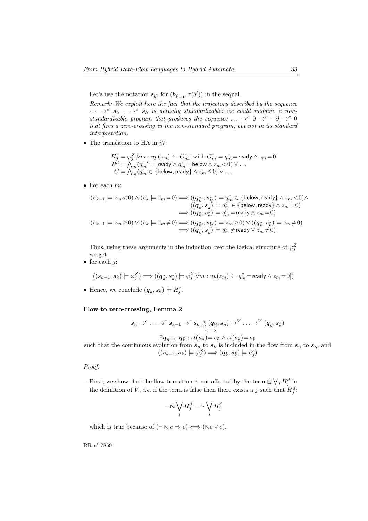Let's use the notation  $s_{\widehat{k}'}$  for  $(b_{\widehat{k}-1}, \tau(\delta'))$  in the sequel.

Remark: We exploit here the fact that the trajectory described by the sequence  $\cdots \rightarrow^c$   $s_{k-1} \rightarrow^c s_k$  is actually standardizable: we could imagine a nonstandardizable program that produces the sequence  $\ldots \rightarrow^c 0 \rightarrow^c -\partial \rightarrow^c 0$ that fires a zero-crossing in the non-standard program, but not in its standard interpretation.

• The translation to HA in §7:

$$
\begin{array}{l} H_j^c=\varphi_j^Z[\forall m:up(z_m)\leftarrow G_m^c] \text{ with } G_m^c=q_m^c=\text{ready} \wedge z_m=0\\ R^d=\bigwedge_m({q_m'}^c=\text{ready} \wedge q_m^c=\text{below} \wedge z_m<0) \vee \ldots\\ C=\bigwedge_m(q_m^c\in\{\text{below},\text{ready}\} \wedge z_m\leq 0) \vee \ldots \end{array}
$$

• For each  $m$ :

$$
\begin{aligned} (\pmb{s}_{k-1}\models z_m<0)\wedge(\pmb{s}_k\models z_m=0)\Longrightarrow ((\pmb{q}_{\widehat{k}'},\pmb{s}_{\widehat{k}'})\models q_m^c\in\{\text{below},\text{ready}\}\wedge z_m<0)\wedge\\ & ((\pmb{q}_{\widehat{k}},\pmb{s}_{\widehat{k}})\models q_m^c\in\{\text{below},\text{ready}\}\wedge z_m=0)\\ \Longrightarrow ((\pmb{q}_{\widehat{k}},\pmb{s}_{\widehat{k}})\models q_m^c=\text{ready}\wedge z_m=0)\\ (\pmb{s}_{k-1}\models z_m\geq 0)\vee(\pmb{s}_k\models z_m\neq 0)\Longrightarrow ((\pmb{q}_{\widehat{k}'},\pmb{s}_{\widehat{k}'})\models z_m\geq 0)\vee((\pmb{q}_{\widehat{k}},\pmb{s}_{\widehat{k}})\models z_m\neq 0)\\ \Longrightarrow ((\pmb{q}_{\widehat{k}},\pmb{s}_{\widehat{k}})\models q_m^c\neq \text{ready}\vee z_m\neq 0)\end{aligned}
$$

Thus, using these arguments in the induction over the logical structure of  $\varphi_j^Z$ we get

• for each  $i$ :

$$
((s_{k-1}, s_k) \models \varphi_j^Z) \Longrightarrow ((\mathbf{q}_{\widehat{k}}, \mathbf{s}_{\widehat{k}}) \models \varphi_j^Z [\forall m : up(z_m) \leftarrow q_m^c = \text{ready} \land z_m = 0])
$$

• Hence, we conclude  $(q_k, s_k) \models H_j^c$ .

## Flow to zero-crossing, Lemma 2

$$
s_n \to^c \ldots \to^c s_{k-1} \to^c s_k \precsim (q_{\widehat{n}}, s_{\widehat{n}}) \to^V \ldots \to^V (q_{\widehat{k}}, s_{\widehat{k}})
$$

 $\exists \boldsymbol{q}_{\widehat{n}}\dots \boldsymbol{q}_{\widehat{k}}: st(\boldsymbol{s}_n)\!=\!\boldsymbol{s}_{\widehat{n}}\wedge st(\boldsymbol{s}_k)\!=\!\boldsymbol{s}_{\widehat{k}}$ such that the continuous evolution from  $s_n$  to  $s_k$  is included in the flow from  $s_{\hat{n}}$  to  $s_{\hat{k}}$ , and  $((s_{k-1}, s_k) \models \varphi^Z_j) \Longrightarrow (q_{\widehat{k}}, s_{\widehat{k}}) \models h^c_j)$ 

#### Proof.

– First, we show that the flow transition is not affected by the term  $\sum \bigvee_j H_j^d$  in the definition of V, *i.e.* if the term is false then there exists a j such that  $H_j^d$ :

$$
\neg \boxtimes \bigvee_j H_j^d \Longrightarrow \bigvee_j H_j^d
$$

which is true because of  $(\neg \boxtimes e \Rightarrow e) \Longleftrightarrow (\boxtimes e \vee e)$ .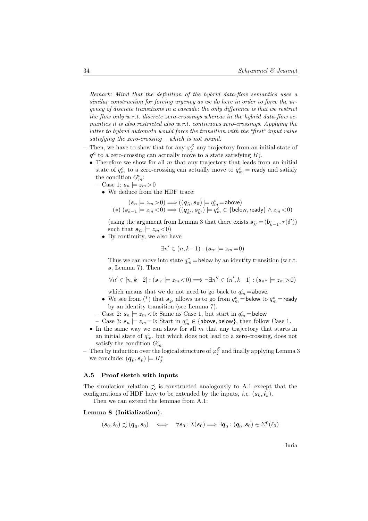Remark: Mind that the definition of the hybrid data-flow semantics uses a similar construction for forcing urgency as we do here in order to force the urgency of discrete transitions in a cascade: the only difference is that we restrict the flow only w.r.t. discrete zero-crossings whereas in the hybrid data-flow semantics it is also restricted also w.r.t. continuous zero-crossings. Applying the latter to hybrid automata would force the transition with the "first" input value satisfying the zero-crossing – which is not sound.

- Then, we have to show that for any  $\varphi_j^Z$  any trajectory from an initial state of  $q<sup>c</sup>$  to a zero-crossing can actually move to a state satisfying  $H<sup>c</sup><sub>j</sub>$ .
	- Therefore we show for all  $m$  that any trajectory that leads from an initial state of  $q_m^c$  to a zero-crossing can actually move to  $q_m^c$  = ready and satisfy the condition  $G_m^c$ :
		- Case 1:  $s_n \models z_m > 0$ 
			- We deduce from the HDF trace:

$$
\begin{array}{c} (s_n \models z_m \! > \! 0) \Longrightarrow ((\textbf{\textit{q}}_{\widehat{n}},s_{\widehat{n}}) \models q^c_m \! = \! \texttt{above})\\ (\ast) \ (s_{k-1} \models z_m \! < \! 0) \Longrightarrow ((\textbf{\textit{q}}_{\widehat{k}'},s_{\widehat{k}'}) \models q^c_m \in \{\texttt{below}, \texttt{ready}\} \land z_m \! < \! 0) \end{array}
$$

(using the argument from Lemma 3 that there exists  $\pmb{s}_{\widehat{k}'} = (\pmb{b}_{\widehat{k}-1}, \tau(\delta'))$ such that  $s_{\widehat{k}'} \models z_m < 0$ 

• By continuity, we also have

$$
\exists n' \in (n, k-1) : (\mathbf{s}_{n'} \models z_m = 0)
$$

Thus we can move into state  $q_m^c =$  below by an identity transition (w.r.t. s, Lemma 7). Then

$$
\forall n'\in [n,k-2] : (\mathbf{s}_{n'}\models z_m\mathord{<} 0)\Longrightarrow \neg \exists n''\in (n',k-1] : (\mathbf{s}_{n''}\models z_m\mathord{>0})
$$

which means that we do not need to go back to  $q_m^c =$  above.

- We see from (\*) that  $s_{\widehat{k}'}$  allows us to go from  $q_m^c =$  below to  $q_m^c =$  ready by an identity transition (see Lemma 7).
- Case 2:  $s_n \models z_m < 0$ : Same as Case 1, but start in  $q_m^c =$  below
- Case 3:  $s_n \models z_m = 0$ : Start in  $q_m^c \in \{\text{above}, \text{below}\},\$  then follow Case 1.
- In the same way we can show for all  $m$  that any trajectory that starts in an initial state of  $q_m^c$ , but which does not lead to a zero-crossing, does not satisfy the condition  $G_m^c$ .
- $-$  Then by induction over the logical structure of  $\varphi^Z_j$  and finally applying Lemma 3 we conclude:  $(\boldsymbol{q}_{\widehat{k}}, \boldsymbol{s}_{\widehat{k}}) \models H_j^c$

#### A.5 Proof sketch with inputs

The simulation relation  $\preceq$  is constructed analogously to A.1 except that the configurations of HDF have to be extended by the inputs, *i.e.*  $(s_k, i_k)$ .

Then we can extend the lemmae from A.1:

#### Lemma 8 (Initialization).

$$
(\bm{s}_0, \bm{i}_0) \precsim (\bm{q}_0, \bm{s}_0) \quad \Longleftrightarrow \quad \forall \bm{s}_0: \mathcal{I}(\bm{s}_0) \Longrightarrow \exists \bm{q}_0: (\bm{q}_0, \bm{s}_0) \in \varSigma^0(\ell_0)
$$

Inria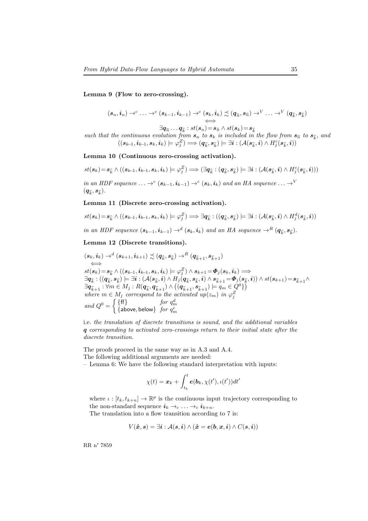Lemma 9 (Flow to zero-crossing).

$$
(\boldsymbol{s}_n, \boldsymbol{i}_n) \rightarrow^c \ldots \rightarrow^c (\boldsymbol{s}_{k-1}, \boldsymbol{i}_{k-1}) \rightarrow^c (\boldsymbol{s}_k, \boldsymbol{i}_k) \precsim (\boldsymbol{q}_{\widehat{n}}, \boldsymbol{s}_{\widehat{n}}) \rightarrow^V \ldots \rightarrow^V (\boldsymbol{q}_{\widehat{k}}, \boldsymbol{s}_{\widehat{k}})
$$

 $\exists \boldsymbol{q}_{\widehat{n}}\dots \boldsymbol{q}_{\widehat{k}}: st(\boldsymbol{s}_n)\!=\!\boldsymbol{s}_{\widehat{n}} \land st(\boldsymbol{s}_k)\!=\!\boldsymbol{s}_{\widehat{k}}$ such that the continuous evolution from  $s_n$  to  $s_k$  is included in the flow from  $s_{\widehat{n}}$  to  $s_{\widehat{k}}$ , and  $((s_{k\!-\!1}, i_{k\!-\!1}, s_k, i_k) \models \varphi^Z_j) \Longrightarrow (q_{\widehat{k}}, s_{\widehat{k}}) \models \exists i: (\mathcal{A}(s_{\widehat{k}}, i) \wedge H^c_j(s_{\widehat{k}}, i))$ 

Lemma 10 (Continuous zero-crossing activation).

$$
st(\boldsymbol{s}_k)\!=\!\boldsymbol{s}_{\widehat{k}}\wedge((\boldsymbol{s}_{k\!-\!1},\boldsymbol{i}_{k\!-\!1},\boldsymbol{s}_{k},\boldsymbol{i}_{k})\models\varphi^Z_j)\Longrightarrow(\exists\boldsymbol{q}_{\widehat{k}}:(\boldsymbol{q}_{\widehat{k}},\boldsymbol{s}_{\widehat{k}})\models\exists\boldsymbol{i}:(\mathcal{A}(\boldsymbol{s}_{\widehat{k}},\boldsymbol{i})\wedge H_j^c(\boldsymbol{s}_{\widehat{k}},\boldsymbol{i})))
$$

in an HDF sequence  $\ldots \rightarrow^c (s_{k-1},i_{k-1}) \rightarrow^c (s_k,i_k)$  and an HA sequence  $\ldots \rightarrow^V$  $(\boldsymbol{q}_{\widehat{k}},\boldsymbol{s}_{\widehat{k}}).$ 

#### Lemma 11 (Discrete zero-crossing activation).

$$
st(\boldsymbol{s}_k)\!=\!\boldsymbol{s}_{\widehat{k}}\wedge((\boldsymbol{s}_{k\!-\!1},\boldsymbol{i}_{k\!-\!1},\boldsymbol{s}_{k},\boldsymbol{i}_{k})\models\varphi_j^Z)\Longrightarrow\exists \boldsymbol{q}_{\widehat{k}}:((\boldsymbol{q}_{\widehat{k}},\boldsymbol{s}_{\widehat{k}})\models\exists \boldsymbol{i}:(\mathcal{A}(\boldsymbol{s}_{\widehat{k}},\boldsymbol{i})\wedge H_j^d(\boldsymbol{s}_{\widehat{k}},\boldsymbol{i}))
$$

in an HDF sequence  $(s_{k-1}, i_{k-1}) \rightarrow^d (s_k, i_k)$  and an HA sequence  $\rightarrow^R (q_{\widehat{k}}, s_{\widehat{k}})$ .

Lemma 12 (Discrete transitions).

$$
(s_k, i_k) \rightarrow^d (s_{k+1}, i_{k+1}) \precsim (q_{\widehat{k}}, s_{\widehat{k}}) \rightarrow^R (q_{\widehat{k}+1}, s_{\widehat{k}+1})
$$
  
\n
$$
\iff
$$
  
\n
$$
st(s_k) = s_{\widehat{k}} \land ((s_{k-1}, i_{k-1}, s_k, i_k) \models \varphi_j^Z) \land s_{k+1} = \Phi_j(s_k, i_k) \Longrightarrow
$$
  
\n
$$
\exists q_{\widehat{k}} : ((q_{\widehat{k}}, s_{\widehat{k}}) \models \exists i : (\mathcal{A}(s_{\widehat{k}}, i) \land H_j(q_{\widehat{k}}, s_{\widehat{k}}, i) \land s_{\widehat{k}+1} = \Phi_j(s_{\widehat{k}}, i)) \land st(s_{k+1}) = s_{\widehat{k}+1} \land
$$
  
\n
$$
\exists q_{\widehat{k}+1} : \forall m \in M_j : R(q_{\widehat{k}}, q_{\widehat{k}+1}) \land ((q_{\widehat{k}+1}, s_{\widehat{k}+1}) \models q_m \in Q^0)
$$
  
\nwhere  $m \in M_j$  correspond to the activated up(z\_m) in  $\varphi_j^Z$   
\nand  $Q^0 = \begin{cases} \{\text{ff}\} & \text{for } q_m^d \\ \{\text{above, below}\} & \text{for } q_m^c \end{cases}$ 

i.e. the translation of discrete transitions is sound, and the additional variables q corresponding to activated zero-crossings return to their initial state after the discrete transition.

The proofs proceed in the same way as in A.3 and A.4. The following additional arguments are needed:

– Lemma 6: We have the following standard interpretation with inputs:

$$
\chi(t) = \boldsymbol{x}_k + \int_{t_k}^t \boldsymbol{e}(\boldsymbol{b}_k, \chi(t'), \iota(t')) dt'
$$

where  $\iota : [t_k, t_{k+n}] \to \mathbb{R}^p$  is the continuous input trajectory corresponding to the non-standard sequence  $i_k \rightarrow_c \ldots \rightarrow_c i_{k+n}$ .

The translation into a flow transition according to 7 is:

$$
V(\dot{x}, s) = \exists i : \mathcal{A}(s, i) \land (\dot{x} = e(b, x, i) \land C(s, i))
$$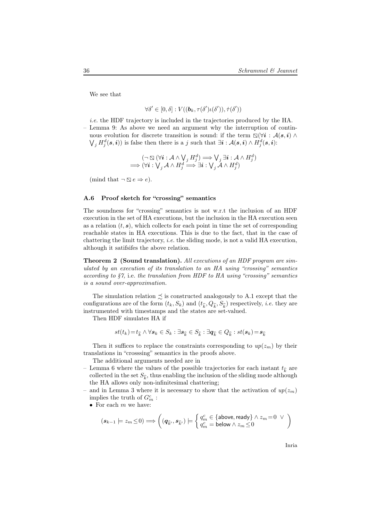We see that

$$
\forall \delta' \in [0,\delta] : V((\boldsymbol{b}_k, \tau(\delta')\iota(\delta')), \dot{\tau}(\delta'))
$$

i.e. the HDF trajectory is included in the trajectories produced by the HA. – Lemma 9: As above we need an argument why the interruption of continuous evolution for discrete transition is sound: if the term  $\mathbb{Q}(\forall i : A(s, i) \land \mathbb{Q})$  $\bigvee_j H_j^d(\mathbf{s}, \mathbf{i})$  is false then there is a j such that  $\exists \mathbf{i} : \mathcal{A}(\mathbf{s}, \mathbf{i}) \wedge H_j^d(\mathbf{s}, \mathbf{i})$ :

$$
(\neg \boxtimes (\forall \mathbf{i} : \mathcal{A} \land \bigvee_j H_j^d) \Longrightarrow \bigvee_j \exists \mathbf{i} : \mathcal{A} \land H_j^d) \Longrightarrow (\forall \mathbf{i} : \bigvee_j \mathcal{A} \land H_j^d \Longrightarrow \exists \mathbf{i} : \bigvee_j \mathcal{A} \land H_j^d)
$$

(mind that  $\neg \Box e \Rightarrow e$ ).

#### A.6 Proof sketch for "crossing" semantics

The soundness for "crossing" semantics is not w.r.t the inclusion of an HDF execution in the set of HA executions, but the inclusion in the HA execution seen as a relation  $(t, s)$ , which collects for each point in time the set of corresponding reachable states in HA executions. This is due to the fact, that in the case of chattering the limit trajectory, i.e. the sliding mode, is not a valid HA execution, although it satifsifes the above relation.

Theorem 2 (Sound translation). All executions of an HDF program are simulated by an execution of its translation to an HA using "crossing" semantics according to  $\S$ 7, i.e. the translation from HDF to HA using "crossing" semantics is a sound over-approximation.

The simulation relation  $\precsim$  is constructed analogously to A.1 except that the configurations are of the form  $(t_k, S_k)$  and  $(t_{\hat{k}}, Q_{\hat{k}}, S_{\hat{k}})$  respectively, *i.e.* they are instrumented with timestamps and the states are set-valued.

Then HDF simulates HA if

$$
st(t_k) = t_{\widehat{k}} \land \forall \mathbf{s}_k \in S_k : \exists \mathbf{s}_{\widehat{k}} \in S_{\widehat{k}} : \exists \mathbf{q}_{\widehat{k}} \in Q_{\widehat{k}} : st(\mathbf{s}_k) = \mathbf{s}_{\widehat{k}}
$$

Then it suffices to replace the constraints corresponding to  $up(z_m)$  by their translations in "crosssing" semantics in the proofs above.

The additional arguments needed are in

- Lemma 6 where the values of the possible trajectories for each instant  $t_{\widehat{k}}$  are collected in the set  $S_{\widehat{k}},$  thus enabling the inclusion of the sliding mode although the HA allows only non-infinitesimal chattering;
- and in Lemma 3 where it is necessary to show that the activation of  $up(z_m)$ implies the truth of  $G_m^c$ :
	- For each  $m$  we have:

$$
(\mathbf{s}_{k-1}\models z_m\leq 0)\Longrightarrow\bigg((\mathbf{q}_{\widehat{k}'},\mathbf{s}_{\widehat{k}'})\models\bigg\{\begin{matrix}q_m^c\in\{\text{above},\text{ready}\}\wedge z_m=0\;\vee\\q_m^c=\text{below}\wedge z_m\leq 0\end{matrix}\bigg)
$$

Inria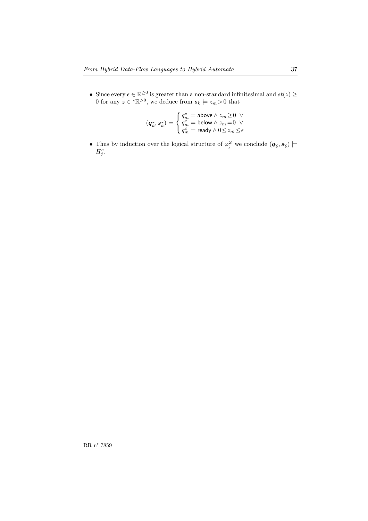• Since every  $\epsilon \in \mathbb{R}^{\geq 0}$  is greater than a non-standard infinitesimal and  $st(z) \geq 0$ 0 for any  $z \in \mathbb{R}^{>0}$ , we deduce from  $s_k \models z_m > 0$  that

$$
(\textbf{\textit{q}}_{\widehat{k}},\textbf{\textit{s}}_{\widehat{k}})\models\begin{cases} q_m^c=\text{above}\wedge z_m\!\geq\!0\;\vee\\ q_m^c=\text{below}\wedge z_m\!=\!0\;\vee\\ q_m^c=\text{ready}\wedge 0\!\leq\!z_m\!\leq\!\epsilon\end{cases}
$$

• Thus by induction over the logical structure of  $\varphi_j^Z$  we conclude  $(q_{\widehat{k}}, s_{\widehat{k}})$   $\models$  $H_j^c$ .